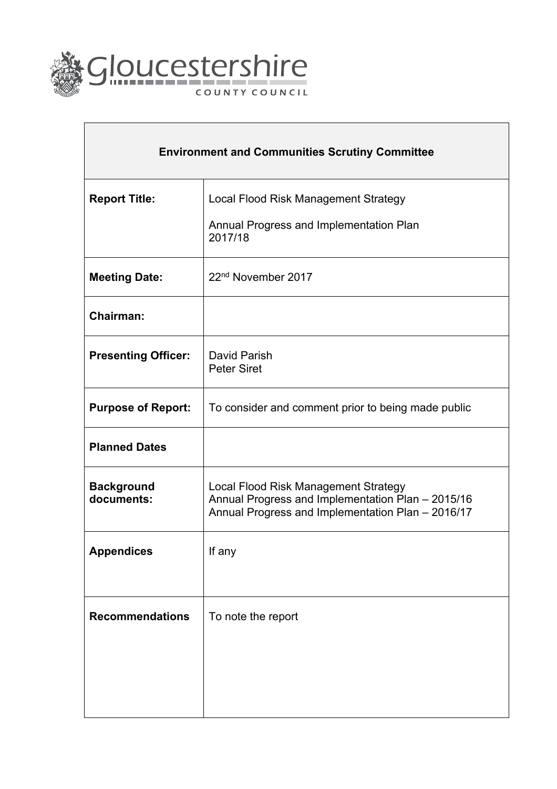

| <b>Environment and Communities Scrutiny Committee</b> |                                                                                                                                                |  |  |  |  |
|-------------------------------------------------------|------------------------------------------------------------------------------------------------------------------------------------------------|--|--|--|--|
| <b>Report Title:</b>                                  | Local Flood Risk Management Strategy                                                                                                           |  |  |  |  |
|                                                       | Annual Progress and Implementation Plan<br>2017/18                                                                                             |  |  |  |  |
| <b>Meeting Date:</b>                                  | 22 <sup>nd</sup> November 2017                                                                                                                 |  |  |  |  |
| <b>Chairman:</b>                                      |                                                                                                                                                |  |  |  |  |
| <b>Presenting Officer:</b>                            | David Parish<br><b>Peter Siret</b>                                                                                                             |  |  |  |  |
| <b>Purpose of Report:</b>                             | To consider and comment prior to being made public                                                                                             |  |  |  |  |
| <b>Planned Dates</b>                                  |                                                                                                                                                |  |  |  |  |
| <b>Background</b><br>documents:                       | Local Flood Risk Management Strategy<br>Annual Progress and Implementation Plan - 2015/16<br>Annual Progress and Implementation Plan - 2016/17 |  |  |  |  |
| <b>Appendices</b>                                     | If any                                                                                                                                         |  |  |  |  |
| <b>Recommendations</b>                                | To note the report                                                                                                                             |  |  |  |  |
|                                                       |                                                                                                                                                |  |  |  |  |
|                                                       |                                                                                                                                                |  |  |  |  |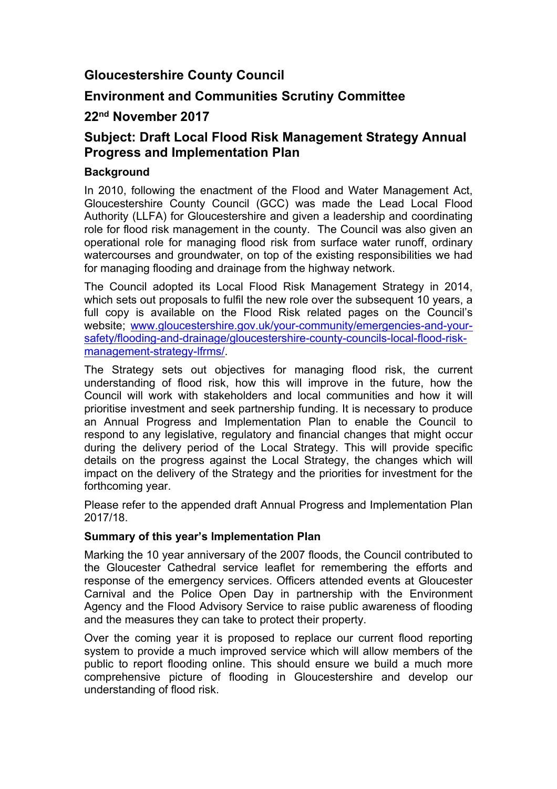#### **Gloucestershire County Council**

#### **Environment and Communities Scrutiny Committee**

#### **22nd November 2017**

#### **Subject: Draft Local Flood Risk Management Strategy Annual Progress and Implementation Plan**

#### **Background**

In 2010, following the enactment of the Flood and Water Management Act, Gloucestershire County Council (GCC) was made the Lead Local Flood Authority (LLFA) for Gloucestershire and given a leadership and coordinating role for flood risk management in the county. The Council was also given an operational role for managing flood risk from surface water runoff, ordinary watercourses and groundwater, on top of the existing responsibilities we had for managing flooding and drainage from the highway network.

The Council adopted its Local Flood Risk Management Strategy in 2014, which sets out proposals to fulfil the new role over the subsequent 10 years, a full copy is available on the Flood Risk related pages on the Council's website; [www.gloucestershire.gov.uk/your-community/emergencies-and-your](http://www.gloucestershire.gov.uk/your-community/emergencies-and-your-safety/flooding-and-drainage/gloucestershire-county-councils-local-flood-risk-management-strategy-lfrms/)[safety/flooding-and-drainage/gloucestershire-county-councils-local-flood-risk](http://www.gloucestershire.gov.uk/your-community/emergencies-and-your-safety/flooding-and-drainage/gloucestershire-county-councils-local-flood-risk-management-strategy-lfrms/)[management-strategy-lfrms/.](http://www.gloucestershire.gov.uk/your-community/emergencies-and-your-safety/flooding-and-drainage/gloucestershire-county-councils-local-flood-risk-management-strategy-lfrms/)

The Strategy sets out objectives for managing flood risk, the current understanding of flood risk, how this will improve in the future, how the Council will work with stakeholders and local communities and how it will prioritise investment and seek partnership funding. It is necessary to produce an Annual Progress and Implementation Plan to enable the Council to respond to any legislative, regulatory and financial changes that might occur during the delivery period of the Local Strategy. This will provide specific details on the progress against the Local Strategy, the changes which will impact on the delivery of the Strategy and the priorities for investment for the forthcoming year.

Please refer to the appended draft Annual Progress and Implementation Plan 2017/18.

#### **Summary of this year's Implementation Plan**

Marking the 10 year anniversary of the 2007 floods, the Council contributed to the Gloucester Cathedral service leaflet for remembering the efforts and response of the emergency services. Officers attended events at Gloucester Carnival and the Police Open Day in partnership with the Environment Agency and the Flood Advisory Service to raise public awareness of flooding and the measures they can take to protect their property.

Over the coming year it is proposed to replace our current flood reporting system to provide a much improved service which will allow members of the public to report flooding online. This should ensure we build a much more comprehensive picture of flooding in Gloucestershire and develop our understanding of flood risk.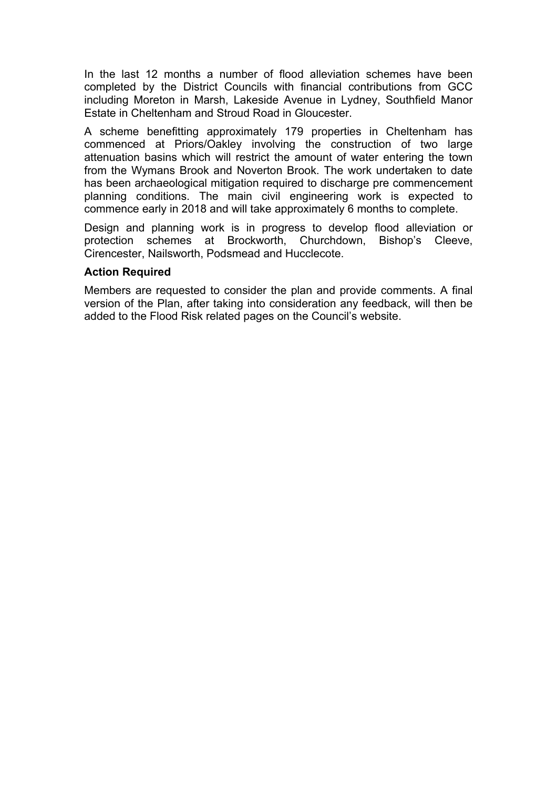In the last 12 months a number of flood alleviation schemes have been completed by the District Councils with financial contributions from GCC including Moreton in Marsh, Lakeside Avenue in Lydney, Southfield Manor Estate in Cheltenham and Stroud Road in Gloucester.

A scheme benefitting approximately 179 properties in Cheltenham has commenced at Priors/Oakley involving the construction of two large attenuation basins which will restrict the amount of water entering the town from the Wymans Brook and Noverton Brook. The work undertaken to date has been archaeological mitigation required to discharge pre commencement planning conditions. The main civil engineering work is expected to commence early in 2018 and will take approximately 6 months to complete.

Design and planning work is in progress to develop flood alleviation or protection schemes at Brockworth, Churchdown, Bishop's Cleeve, Cirencester, Nailsworth, Podsmead and Hucclecote.

#### **Action Required**

Members are requested to consider the plan and provide comments. A final version of the Plan, after taking into consideration any feedback, will then be added to the Flood Risk related pages on the Council's website.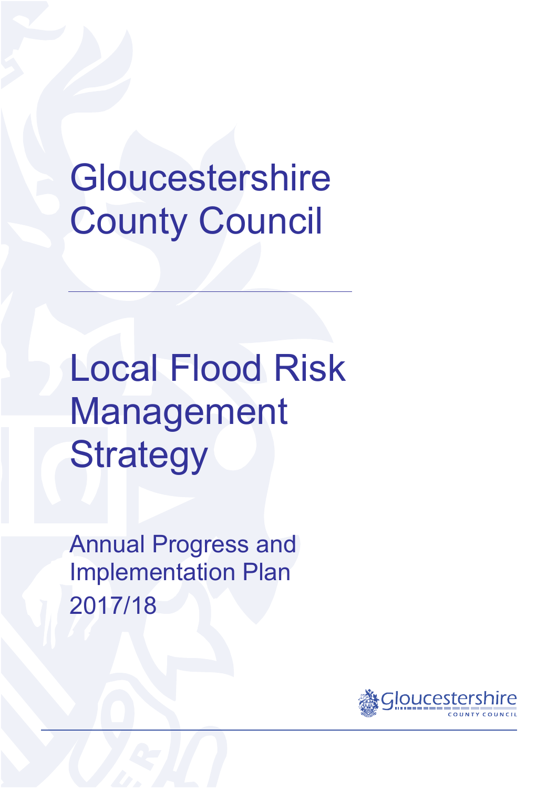# Gloucestershire County Council

Local Flood Risk Management **Strategy** 

Annual Progress and Implementation Plan 2017/18

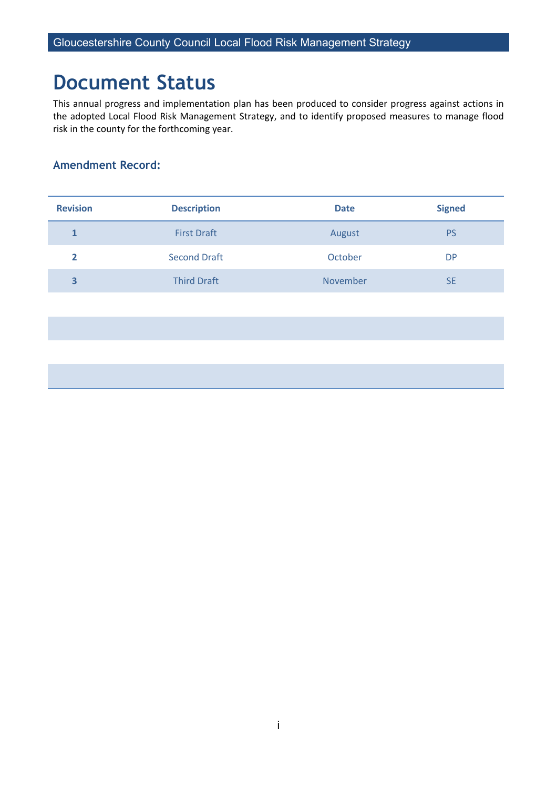# **Document Status**

This annual progress and implementation plan has been produced to consider progress against actions in the adopted Local Flood Risk Management Strategy, and to identify proposed measures to manage flood risk in the county for the forthcoming year.

#### **Amendment Record:**

| <b>Revision</b> | <b>Description</b>  | <b>Date</b> | <b>Signed</b> |
|-----------------|---------------------|-------------|---------------|
|                 | <b>First Draft</b>  | August      | <b>PS</b>     |
|                 | <b>Second Draft</b> | October     | <b>DP</b>     |
| 3               | <b>Third Draft</b>  | November    | <b>SE</b>     |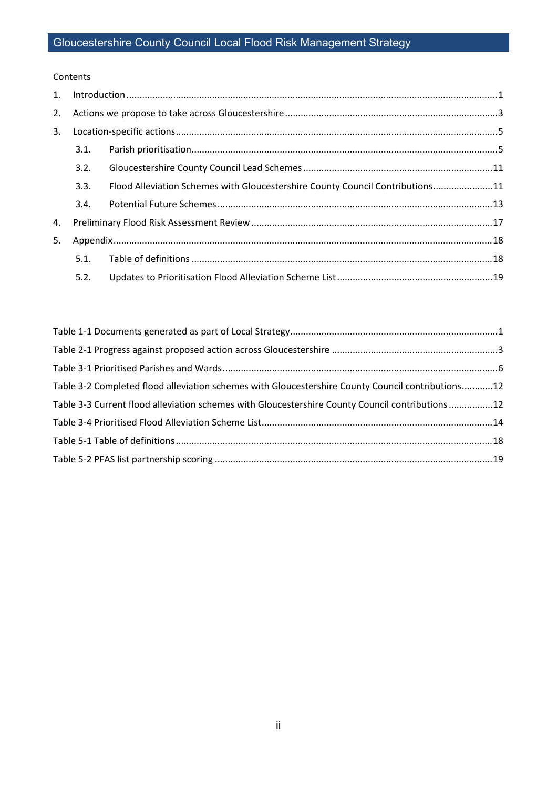#### Contents

| 1. |      |                                                                               |  |  |  |  |  |  |
|----|------|-------------------------------------------------------------------------------|--|--|--|--|--|--|
| 2. |      |                                                                               |  |  |  |  |  |  |
| 3. |      |                                                                               |  |  |  |  |  |  |
|    | 3.1. |                                                                               |  |  |  |  |  |  |
|    | 3.2. |                                                                               |  |  |  |  |  |  |
|    | 3.3. | Flood Alleviation Schemes with Gloucestershire County Council Contributions11 |  |  |  |  |  |  |
|    | 3.4. |                                                                               |  |  |  |  |  |  |
| 4. |      |                                                                               |  |  |  |  |  |  |
| 5. |      |                                                                               |  |  |  |  |  |  |
|    | 5.1. |                                                                               |  |  |  |  |  |  |
|    | 5.2. |                                                                               |  |  |  |  |  |  |

| Table 3-2 Completed flood alleviation schemes with Gloucestershire County Council contributions12 |  |
|---------------------------------------------------------------------------------------------------|--|
| Table 3-3 Current flood alleviation schemes with Gloucestershire County Council contributions 12  |  |
|                                                                                                   |  |
|                                                                                                   |  |
|                                                                                                   |  |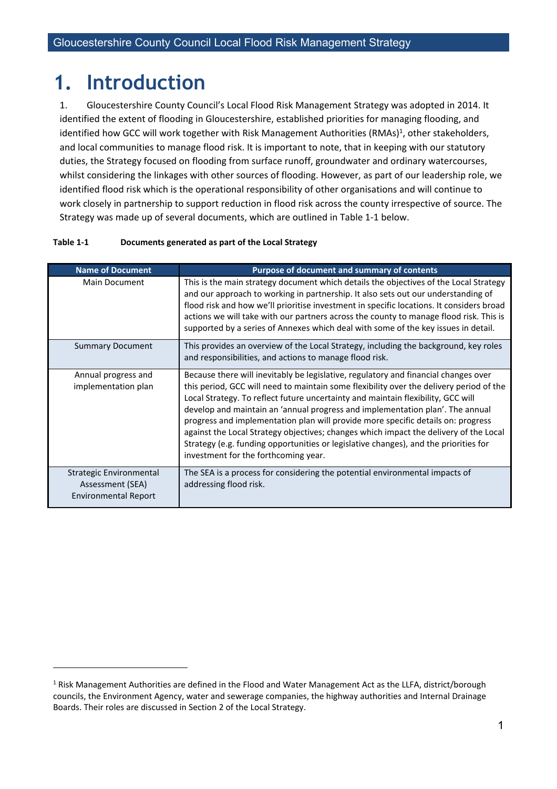# <span id="page-6-0"></span>**1. Introduction**

1. Gloucestershire County Council's Local Flood Risk Management Strategy was adopted in 2014. It identified the extent of flooding in Gloucestershire, established priorities for managing flooding, and identified how GCC will work together with Risk Management Authorities (RMAs)<sup>1</sup>, other stakeholders, and local communities to manage flood risk. It is important to note, that in keeping with our statutory duties, the Strategy focused on flooding from surface runoff, groundwater and ordinary watercourses, whilst considering the linkages with other sources of flooding. However, as part of our leadership role, we identified flood risk which is the operational responsibility of other organisations and will continue to work closely in partnership to support reduction in flood risk across the county irrespective of source. The Strategy was made up of several documents, which are outlined in Table 1-1 below.

| <b>Name of Document</b>                                                           | Purpose of document and summary of contents                                                                                                                                                                                                                                                                                                                                                                                                                                                                                                                                                                                                                      |
|-----------------------------------------------------------------------------------|------------------------------------------------------------------------------------------------------------------------------------------------------------------------------------------------------------------------------------------------------------------------------------------------------------------------------------------------------------------------------------------------------------------------------------------------------------------------------------------------------------------------------------------------------------------------------------------------------------------------------------------------------------------|
| <b>Main Document</b>                                                              | This is the main strategy document which details the objectives of the Local Strategy<br>and our approach to working in partnership. It also sets out our understanding of<br>flood risk and how we'll prioritise investment in specific locations. It considers broad<br>actions we will take with our partners across the county to manage flood risk. This is<br>supported by a series of Annexes which deal with some of the key issues in detail.                                                                                                                                                                                                           |
| <b>Summary Document</b>                                                           | This provides an overview of the Local Strategy, including the background, key roles<br>and responsibilities, and actions to manage flood risk.                                                                                                                                                                                                                                                                                                                                                                                                                                                                                                                  |
| Annual progress and<br>implementation plan                                        | Because there will inevitably be legislative, regulatory and financial changes over<br>this period, GCC will need to maintain some flexibility over the delivery period of the<br>Local Strategy. To reflect future uncertainty and maintain flexibility, GCC will<br>develop and maintain an 'annual progress and implementation plan'. The annual<br>progress and implementation plan will provide more specific details on: progress<br>against the Local Strategy objectives; changes which impact the delivery of the Local<br>Strategy (e.g. funding opportunities or legislative changes), and the priorities for<br>investment for the forthcoming year. |
| <b>Strategic Environmental</b><br>Assessment (SEA)<br><b>Environmental Report</b> | The SEA is a process for considering the potential environmental impacts of<br>addressing flood risk.                                                                                                                                                                                                                                                                                                                                                                                                                                                                                                                                                            |

#### <span id="page-6-1"></span>**Table 1-1 Documents generated as part of the Local Strategy**

 $1$  Risk Management Authorities are defined in the Flood and Water Management Act as the LLFA, district/borough councils, the Environment Agency, water and sewerage companies, the highway authorities and Internal Drainage Boards. Their roles are discussed in Section 2 of the Local Strategy.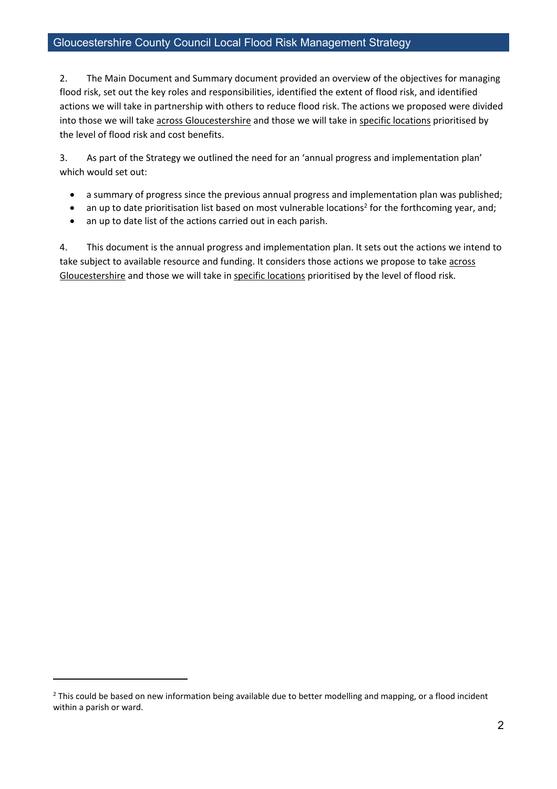2. The Main Document and Summary document provided an overview of the objectives for managing flood risk, set out the key roles and responsibilities, identified the extent of flood risk, and identified actions we will take in partnership with others to reduce flood risk. The actions we proposed were divided into those we will take across Gloucestershire and those we will take in specific locations prioritised by the level of flood risk and cost benefits.

3. As part of the Strategy we outlined the need for an 'annual progress and implementation plan' which would set out:

- a summary of progress since the previous annual progress and implementation plan was published;
- an up to date prioritisation list based on most vulnerable locations<sup>2</sup> for the forthcoming year, and;
- an up to date list of the actions carried out in each parish.

4. This document is the annual progress and implementation plan. It sets out the actions we intend to take subject to available resource and funding. It considers those actions we propose to take across Gloucestershire and those we will take in specific locations prioritised by the level of flood risk.

<sup>&</sup>lt;sup>2</sup> This could be based on new information being available due to better modelling and mapping, or a flood incident within a parish or ward.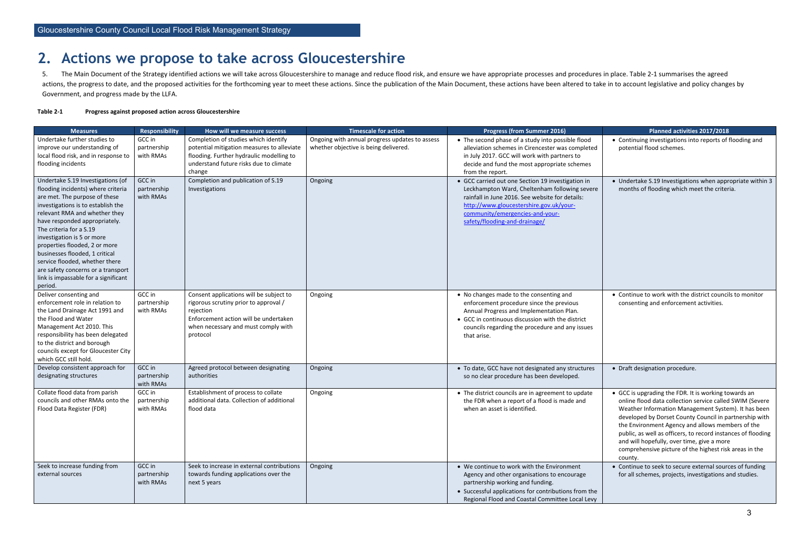# <span id="page-8-0"></span>**2. Actions we propose to take across Gloucestershire**

5. The Main Document of the Strategy identified actions we will take across Gloucestershire to manage and reduce flood risk, and ensure we have appropriate processes and procedures in place. Table 2-1 summarises the agreed actions, the progress to date, and the proposed activities for the forthcoming year to meet these actions. Since the publication of the Main Document, these actions have been altered to take in to account legislative and p Government, and progress made by the LLFA.

#### <span id="page-8-1"></span>**Table 2-1 Progress against proposed action across Gloucestershire**

| <b>Measures</b>                                                                                                                                                                                                                                                                                                                                                                                                                                                         | <b>Responsibility</b>              | How will we measure success                                                                                                                                                               | <b>Timescale for action</b>                                                                                                                                                                                                                                                     | <b>Progress (from Summer 2016)</b>                                                                                                                                                                                                                    | Planned activities 2017/2018                                                                                                                                                                                                                                                                                                                                                                                                                                             |
|-------------------------------------------------------------------------------------------------------------------------------------------------------------------------------------------------------------------------------------------------------------------------------------------------------------------------------------------------------------------------------------------------------------------------------------------------------------------------|------------------------------------|-------------------------------------------------------------------------------------------------------------------------------------------------------------------------------------------|---------------------------------------------------------------------------------------------------------------------------------------------------------------------------------------------------------------------------------------------------------------------------------|-------------------------------------------------------------------------------------------------------------------------------------------------------------------------------------------------------------------------------------------------------|--------------------------------------------------------------------------------------------------------------------------------------------------------------------------------------------------------------------------------------------------------------------------------------------------------------------------------------------------------------------------------------------------------------------------------------------------------------------------|
| Undertake further studies to<br>improve our understanding of<br>local flood risk, and in response to<br>flooding incidents                                                                                                                                                                                                                                                                                                                                              | GCC in<br>partnership<br>with RMAs | Completion of studies which identify<br>potential mitigation measures to alleviate<br>flooding. Further hydraulic modelling to<br>understand future risks due to climate<br>change        | Ongoing with annual progress updates to assess<br>whether objective is being delivered.                                                                                                                                                                                         | • The second phase of a study into possible flood<br>alleviation schemes in Cirencester was completed<br>in July 2017. GCC will work with partners to<br>decide and fund the most appropriate schemes<br>from the report.                             | • Continuing investigations into reports of flooding and<br>potential flood schemes.                                                                                                                                                                                                                                                                                                                                                                                     |
| Undertake S.19 Investigations (of<br>flooding incidents) where criteria<br>are met. The purpose of these<br>investigations is to establish the<br>relevant RMA and whether they<br>have responded appropriately.<br>The criteria for a S.19<br>investigation is 5 or more<br>properties flooded, 2 or more<br>businesses flooded, 1 critical<br>service flooded, whether there<br>are safety concerns or a transport<br>link is impassable for a significant<br>period. | GCC in<br>partnership<br>with RMAs | Completion and publication of S.19<br>Investigations                                                                                                                                      | Ongoing<br>• GCC carried out one Section 19 investigation in<br>Leckhampton Ward, Cheltenham following severe<br>rainfall in June 2016. See website for details:<br>http://www.gloucestershire.gov.uk/your-<br>community/emergencies-and-your-<br>safety/flooding-and-drainage/ |                                                                                                                                                                                                                                                       | • Undertake S.19 Investigations when appropriate within 3<br>months of flooding which meet the criteria.                                                                                                                                                                                                                                                                                                                                                                 |
| Deliver consenting and<br>enforcement role in relation to<br>the Land Drainage Act 1991 and<br>the Flood and Water<br>Management Act 2010. This<br>responsibility has been delegated<br>to the district and borough<br>councils except for Gloucester City<br>which GCC still hold.                                                                                                                                                                                     | GCC in<br>partnership<br>with RMAs | Consent applications will be subject to<br>rigorous scrutiny prior to approval /<br>rejection<br>Enforcement action will be undertaken<br>when necessary and must comply with<br>protocol | Ongoing                                                                                                                                                                                                                                                                         | • No changes made to the consenting and<br>enforcement procedure since the previous<br>Annual Progress and Implementation Plan.<br>• GCC in continuous discussion with the district<br>councils regarding the procedure and any issues<br>that arise. | • Continue to work with the district councils to monitor<br>consenting and enforcement activities.                                                                                                                                                                                                                                                                                                                                                                       |
| Develop consistent approach for<br>designating structures                                                                                                                                                                                                                                                                                                                                                                                                               | GCC in<br>partnership<br>with RMAs | Agreed protocol between designating<br>authorities                                                                                                                                        | Ongoing                                                                                                                                                                                                                                                                         | • To date, GCC have not designated any structures<br>so no clear procedure has been developed.                                                                                                                                                        | • Draft designation procedure.                                                                                                                                                                                                                                                                                                                                                                                                                                           |
| Collate flood data from parish<br>councils and other RMAs onto the<br>Flood Data Register (FDR)                                                                                                                                                                                                                                                                                                                                                                         | GCC in<br>partnership<br>with RMAs | Establishment of process to collate<br>additional data. Collection of additional<br>flood data                                                                                            | Ongoing                                                                                                                                                                                                                                                                         | • The district councils are in agreement to update<br>the FDR when a report of a flood is made and<br>when an asset is identified.                                                                                                                    | • GCC is upgrading the FDR. It is working towards an<br>online flood data collection service called SWIM (Severe<br>Weather Information Management System). It has been<br>developed by Dorset County Council in partnership with<br>the Environment Agency and allows members of the<br>public, as well as officers, to record instances of flooding<br>and will hopefully, over time, give a more<br>comprehensive picture of the highest risk areas in the<br>county. |
| Seek to increase funding from<br>external sources                                                                                                                                                                                                                                                                                                                                                                                                                       | GCC in<br>partnership<br>with RMAs | Seek to increase in external contributions<br>towards funding applications over the<br>next 5 years                                                                                       | Ongoing                                                                                                                                                                                                                                                                         | • We continue to work with the Environment<br>Agency and other organisations to encourage<br>partnership working and funding.<br>• Successful applications for contributions from the<br>Regional Flood and Coastal Committee Local Levy              | • Continue to seek to secure external sources of funding<br>for all schemes, projects, investigations and studies.                                                                                                                                                                                                                                                                                                                                                       |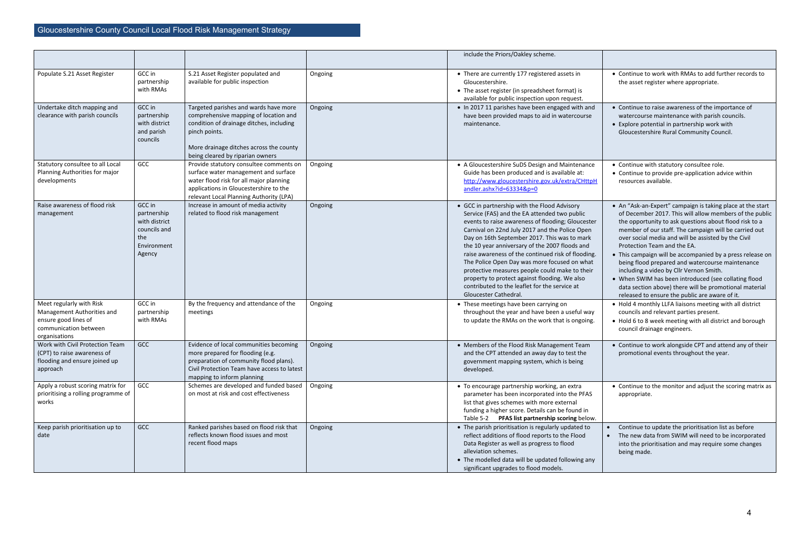|                                                                                                                          |                                                                                        |                                                                                                                                                                                                                            |         | include the Priors/Oakley scheme.                                                                                                                                                                                                                                                                                                                                                                                                                                                                                                                                                        |
|--------------------------------------------------------------------------------------------------------------------------|----------------------------------------------------------------------------------------|----------------------------------------------------------------------------------------------------------------------------------------------------------------------------------------------------------------------------|---------|------------------------------------------------------------------------------------------------------------------------------------------------------------------------------------------------------------------------------------------------------------------------------------------------------------------------------------------------------------------------------------------------------------------------------------------------------------------------------------------------------------------------------------------------------------------------------------------|
| Populate S.21 Asset Register                                                                                             | GCC in<br>partnership<br>with RMAs                                                     | S.21 Asset Register populated and<br>available for public inspection                                                                                                                                                       | Ongoing | • There are currently 177 registered assets in<br>Gloucestershire.<br>• The asset register (in spreadsheet format) is<br>available for public inspection upon request.                                                                                                                                                                                                                                                                                                                                                                                                                   |
| Undertake ditch mapping and<br>clearance with parish councils                                                            | GCC in<br>partnership<br>with district<br>and parish<br>councils                       | Targeted parishes and wards have more<br>comprehensive mapping of location and<br>condition of drainage ditches, including<br>pinch points.<br>More drainage ditches across the county<br>being cleared by riparian owners | Ongoing | . In 2017 11 parishes have been engaged with and<br>have been provided maps to aid in watercourse<br>maintenance.                                                                                                                                                                                                                                                                                                                                                                                                                                                                        |
| Statutory consultee to all Local<br>Planning Authorities for major<br>developments                                       | GCC                                                                                    | Provide statutory consultee comments on<br>surface water management and surface<br>water flood risk for all major planning<br>applications in Gloucestershire to the<br>relevant Local Planning Authority (LPA)            | Ongoing | • A Gloucestershire SuDS Design and Maintenance<br>Guide has been produced and is available at:<br>http://www.gloucestershire.gov.uk/extra/CHttpH<br>andler.ashx?id=63334&p=0                                                                                                                                                                                                                                                                                                                                                                                                            |
| Raise awareness of flood risk<br>management                                                                              | GCC in<br>partnership<br>with district<br>councils and<br>the<br>Environment<br>Agency | Increase in amount of media activity<br>related to flood risk management                                                                                                                                                   | Ongoing | • GCC in partnership with the Flood Advisory<br>Service (FAS) and the EA attended two public<br>events to raise awareness of flooding; Gloucester<br>Carnival on 22nd July 2017 and the Police Open<br>Day on 16th September 2017. This was to mark<br>the 10 year anniversary of the 2007 floods and<br>raise awareness of the continued risk of flooding.<br>The Police Open Day was more focused on what<br>protective measures people could make to their<br>property to protect against flooding. We also<br>contributed to the leaflet for the service at<br>Gloucester Cathedral. |
| Meet regularly with Risk<br>Management Authorities and<br>ensure good lines of<br>communication between<br>organisations | GCC in<br>partnership<br>with RMAs                                                     | By the frequency and attendance of the<br>meetings                                                                                                                                                                         | Ongoing | • These meetings have been carrying on<br>throughout the year and have been a useful way<br>to update the RMAs on the work that is ongoing.                                                                                                                                                                                                                                                                                                                                                                                                                                              |
| Work with Civil Protection Team<br>(CPT) to raise awareness of<br>flooding and ensure joined up<br>approach              | GCC                                                                                    | Evidence of local communities becoming<br>more prepared for flooding (e.g.<br>preparation of community flood plans).<br>Civil Protection Team have access to latest<br>mapping to inform planning                          | Ongoing | • Members of the Flood Risk Management Team<br>and the CPT attended an away day to test the<br>government mapping system, which is being<br>developed.                                                                                                                                                                                                                                                                                                                                                                                                                                   |
| Apply a robust scoring matrix for<br>prioritising a rolling programme of<br>works                                        | GCC                                                                                    | Schemes are developed and funded based<br>on most at risk and cost effectiveness                                                                                                                                           | Ongoing | • To encourage partnership working, an extra<br>parameter has been incorporated into the PFAS<br>list that gives schemes with more external<br>funding a higher score. Details can be found in<br>Table 5-2 PFAS list partnership scoring below.                                                                                                                                                                                                                                                                                                                                         |
| Keep parish prioritisation up to<br>date                                                                                 | GCC                                                                                    | Ranked parishes based on flood risk that<br>reflects known flood issues and most<br>recent flood maps                                                                                                                      | Ongoing | • The parish prioritisation is regularly updated to<br>reflect additions of flood reports to the Flood<br>Data Register as well as progress to flood<br>alleviation schemes.<br>• The modelled data will be updated following any<br>significant upgrades to flood models.                                                                                                                                                                                                                                                                                                               |

|   | • Continue to work with RMAs to add further records to<br>the asset register where appropriate.                                                                                                                                                                                                                                                                                                                                                                                                                                                                                                                                                                                                                                                                                                                                                               |
|---|---------------------------------------------------------------------------------------------------------------------------------------------------------------------------------------------------------------------------------------------------------------------------------------------------------------------------------------------------------------------------------------------------------------------------------------------------------------------------------------------------------------------------------------------------------------------------------------------------------------------------------------------------------------------------------------------------------------------------------------------------------------------------------------------------------------------------------------------------------------|
|   | • Continue to raise awareness of the importance of<br>watercourse maintenance with parish councils.<br>• Explore potential in partnership work with<br>Gloucestershire Rural Community Council.                                                                                                                                                                                                                                                                                                                                                                                                                                                                                                                                                                                                                                                               |
| ł | • Continue with statutory consultee role.<br>• Continue to provide pre-application advice within<br>resources available.                                                                                                                                                                                                                                                                                                                                                                                                                                                                                                                                                                                                                                                                                                                                      |
|   | • An "Ask-an-Expert" campaign is taking place at the start<br>of December 2017. This will allow members of the public<br>the opportunity to ask questions about flood risk to a<br>member of our staff. The campaign will be carried out<br>over social media and will be assisted by the Civil<br>Protection Team and the EA.<br>This campaign will be accompanied by a press release on<br>being flood prepared and watercourse maintenance<br>including a video by Cllr Vernon Smith.<br>• When SWIM has been introduced (see collating flood<br>data section above) there will be promotional material<br>released to ensure the public are aware of it.<br>• Hold 4 monthly LLFA liaisons meeting with all district<br>councils and relevant parties present.<br>• Hold 6 to 8 week meeting with all district and borough<br>council drainage engineers. |
|   | • Continue to work alongside CPT and attend any of their<br>promotional events throughout the year.                                                                                                                                                                                                                                                                                                                                                                                                                                                                                                                                                                                                                                                                                                                                                           |
|   | • Continue to the monitor and adjust the scoring matrix as<br>appropriate.                                                                                                                                                                                                                                                                                                                                                                                                                                                                                                                                                                                                                                                                                                                                                                                    |
|   | Continue to update the prioritisation list as before<br>The new data from SWIM will need to be incorporated<br>into the prioritisation and may require some changes<br>being made.                                                                                                                                                                                                                                                                                                                                                                                                                                                                                                                                                                                                                                                                            |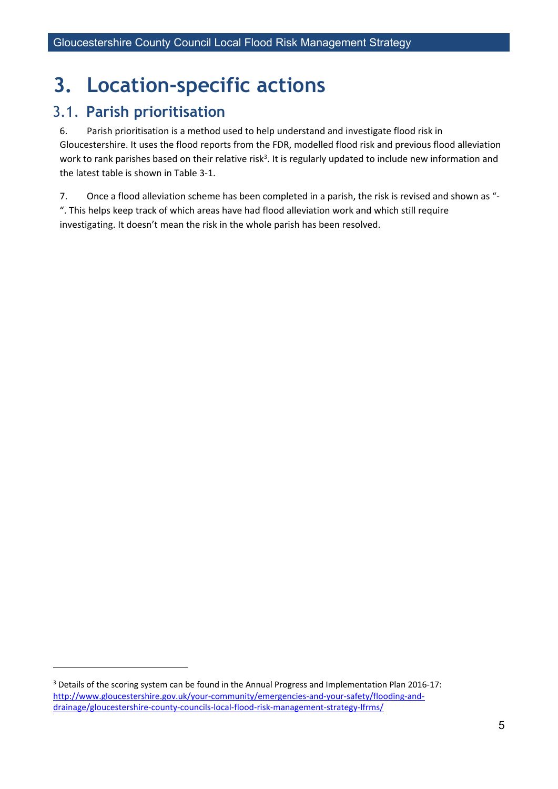# <span id="page-10-0"></span>**3. Location-specific actions**

### <span id="page-10-1"></span>3.1. **Parish prioritisation**

6. Parish prioritisation is a method used to help understand and investigate flood risk in Gloucestershire. It uses the flood reports from the FDR, modelled flood risk and previous flood alleviation work to rank parishes based on their relative risk<sup>3</sup>. It is regularly updated to include new information and the latest table is shown in Table 3-1.

7. Once a flood alleviation scheme has been completed in a parish, the risk is revised and shown as "- ". This helps keep track of which areas have had flood alleviation work and which still require investigating. It doesn't mean the risk in the whole parish has been resolved.

<sup>&</sup>lt;sup>3</sup> Details of the scoring system can be found in the Annual Progress and Implementation Plan 2016-17: [http://www.gloucestershire.gov.uk/your-community/emergencies-and-your-safety/flooding-and](http://www.gloucestershire.gov.uk/your-community/emergencies-and-your-safety/flooding-and-drainage/gloucestershire-county-councils-local-flood-risk-management-strategy-lfrms/)[drainage/gloucestershire-county-councils-local-flood-risk-management-strategy-lfrms/](http://www.gloucestershire.gov.uk/your-community/emergencies-and-your-safety/flooding-and-drainage/gloucestershire-county-councils-local-flood-risk-management-strategy-lfrms/)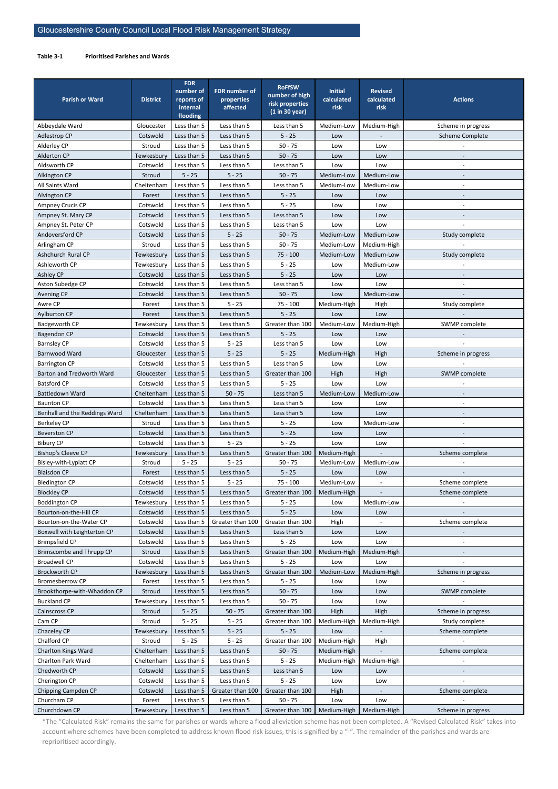\*The "Calculated Risk" remains the same for parishes or wards where a flood alleviation scheme has not been completed. A "Revised Calculated Risk" takes into account where schemes have been completed to address known flood risk issues, this is signified by a "-". The remainder of the parishes and wards are reprioritised accordingly.

#### <span id="page-11-0"></span>**Table 3-1 Prioritised Parishes and Wards**

| <b>Parish or Ward</b>                                | <b>District</b>      | <b>FDR</b><br>number of<br>reports of<br>internal<br>flooding | <b>FDR number of</b><br>properties<br>affected | <b>RoFfSW</b><br>number of high<br>risk properties<br>(1 in 30 year) | <b>Initial</b><br>calculated<br>risk | <b>Revised</b><br>calculated<br>risk | <b>Actions</b>         |
|------------------------------------------------------|----------------------|---------------------------------------------------------------|------------------------------------------------|----------------------------------------------------------------------|--------------------------------------|--------------------------------------|------------------------|
| Abbeydale Ward                                       | Gloucester           | Less than 5                                                   | Less than 5                                    | Less than 5                                                          | Medium-Low                           | Medium-High                          | Scheme in progress     |
| Adlestrop CP                                         | Cotswold             | Less than 5                                                   | Less than 5                                    | $5 - 25$                                                             | Low                                  |                                      | <b>Scheme Complete</b> |
| Alderley CP                                          | Stroud               | Less than 5                                                   | Less than 5                                    | $50 - 75$                                                            | Low                                  | Low                                  |                        |
| Alderton CP                                          | Tewkesbury           | Less than 5                                                   | Less than 5                                    | $50 - 75$                                                            | Low                                  | Low                                  |                        |
| Aldsworth CP                                         | Cotswold             | Less than 5                                                   | Less than 5                                    | Less than 5                                                          | Low                                  | Low                                  |                        |
| Alkington CP                                         | Stroud               | $5 - 25$                                                      | $5 - 25$                                       | $50 - 75$                                                            | Medium-Low                           | Medium-Low                           |                        |
| All Saints Ward                                      | Cheltenham           | Less than 5                                                   | Less than 5                                    | Less than 5                                                          | Medium-Low                           | Medium-Low                           |                        |
| Alvington CP                                         | Forest               | Less than 5                                                   | Less than 5                                    | $5 - 25$                                                             | Low                                  | Low                                  |                        |
| Ampney Crucis CP                                     | Cotswold             | Less than 5                                                   | Less than 5                                    | $5 - 25$                                                             | Low                                  | Low                                  | $\overline{a}$         |
| Ampney St. Mary CP                                   | Cotswold             | Less than 5                                                   | Less than 5                                    | Less than 5                                                          | Low                                  | Low                                  |                        |
| Ampney St. Peter CP                                  | Cotswold             | Less than 5                                                   | Less than 5                                    | Less than 5                                                          | Low                                  | Low                                  |                        |
| Andoversford CP                                      | Cotswold             | Less than 5                                                   | $5 - 25$                                       | $50 - 75$                                                            | Medium-Low                           | Medium-Low                           | Study complete         |
| Arlingham CP                                         | Stroud               | Less than 5                                                   | Less than 5                                    | $50 - 75$                                                            | Medium-Low                           | Medium-High                          |                        |
| Ashchurch Rural CP                                   | Tewkesbury           | Less than 5                                                   | Less than 5                                    | $75 - 100$                                                           | Medium-Low                           | Medium-Low                           | Study complete         |
| Ashleworth CP                                        | Tewkesbury           | Less than 5                                                   | Less than 5                                    | $5 - 25$                                                             | Low                                  | Medium-Low                           |                        |
| Ashley CP                                            | Cotswold             | Less than 5                                                   | Less than 5                                    | $5 - 25$                                                             | Low                                  | Low                                  |                        |
| Aston Subedge CP                                     | Cotswold             | Less than 5                                                   | Less than 5                                    | Less than 5                                                          | Low                                  | Low                                  |                        |
| <b>Avening CP</b>                                    | Cotswold             | Less than 5                                                   | Less than 5                                    | $50 - 75$                                                            | Low                                  | Medium-Low                           |                        |
| Awre CP                                              | Forest               | Less than 5                                                   | $5 - 25$                                       | $75 - 100$                                                           | Medium-High                          | High                                 | Study complete         |
| Aylburton CP                                         | Forest               | Less than 5                                                   | Less than 5                                    | $5 - 25$                                                             | Low                                  | Low                                  |                        |
| <b>Badgeworth CP</b>                                 | Tewkesbury           | Less than 5                                                   | Less than 5                                    | Greater than 100                                                     | Medium-Low                           | Medium-High                          | SWMP complete          |
| <b>Bagendon CP</b>                                   | Cotswold             | Less than 5                                                   | Less than 5                                    | $5 - 25$                                                             | Low                                  | Low                                  |                        |
| <b>Barnsley CP</b>                                   | Cotswold             | Less than 5                                                   | $5 - 25$                                       | Less than 5                                                          | Low                                  | Low                                  |                        |
| Barnwood Ward                                        | Gloucester           | Less than 5                                                   | $5 - 25$                                       | $5 - 25$                                                             | Medium-High                          | High                                 | Scheme in progress     |
| <b>Barrington CP</b>                                 | Cotswold             | Less than 5                                                   | Less than 5                                    | Less than 5                                                          | Low                                  | Low                                  |                        |
| Barton and Tredworth Ward                            | Gloucester           | Less than 5                                                   | Less than 5                                    | Greater than 100                                                     | High                                 | High                                 | SWMP complete          |
| <b>Batsford CP</b>                                   | Cotswold             | Less than 5                                                   | Less than 5                                    | $5 - 25$                                                             | Low                                  | Low                                  |                        |
| <b>Battledown Ward</b>                               | Cheltenham           | Less than 5                                                   | $50 - 75$                                      | Less than 5                                                          | Medium-Low                           | Medium-Low                           |                        |
| <b>Baunton CP</b>                                    | Cotswold             | Less than 5                                                   | Less than 5                                    | Less than 5                                                          | Low                                  | Low                                  |                        |
| Benhall and the Reddings Ward                        | Cheltenham           | Less than 5                                                   | Less than 5                                    | Less than 5                                                          | Low                                  | Low                                  |                        |
| <b>Berkeley CP</b>                                   | Stroud               | Less than 5                                                   | Less than 5                                    | $5 - 25$                                                             | Low                                  | Medium-Low                           |                        |
| <b>Beverston CP</b>                                  | Cotswold             | Less than 5                                                   | Less than 5                                    | $5 - 25$                                                             | Low                                  | Low                                  |                        |
| <b>Bibury CP</b>                                     | Cotswold             | Less than 5                                                   | $5 - 25$                                       | $5 - 25$                                                             | Low                                  | Low                                  |                        |
| <b>Bishop's Cleeve CP</b>                            | Tewkesbury           | Less than 5                                                   | Less than 5                                    | Greater than 100                                                     | Medium-High                          |                                      | Scheme complete        |
| Bisley-with-Lypiatt CP                               | Stroud               | $5 - 25$                                                      | $5 - 25$                                       | $50 - 75$                                                            | Medium-Low                           | Medium-Low                           |                        |
| <b>Blaisdon CP</b>                                   | Forest               | Less than 5                                                   | Less than 5                                    | $5 - 25$                                                             | Low                                  | Low                                  |                        |
| <b>Bledington CP</b>                                 | Cotswold             | Less than 5                                                   | $5 - 25$                                       | $75 - 100$                                                           | Medium-Low                           |                                      | Scheme complete        |
| <b>Blockley CP</b>                                   | Cotswold             | Less than 5                                                   | Less than 5                                    | Greater than 100                                                     | Medium-High                          |                                      | Scheme complete        |
| <b>Boddington CP</b>                                 | Tewkesbury           | Less than 5                                                   | Less than 5                                    | $5 - 25$                                                             | Low                                  | Medium-Low                           |                        |
| Bourton-on-the-Hill CP                               | Cotswold             | Less than 5<br>Less than 5                                    | Less than 5                                    | $5 - 25$                                                             | Low                                  | Low                                  |                        |
| Bourton-on-the-Water CP                              | Cotswold             | Less than 5                                                   | Greater than 100<br>Less than 5                | Greater than 100<br>Less than 5                                      | High                                 |                                      | Scheme complete        |
| Boxwell with Leighterton CP<br><b>Brimpsfield CP</b> | Cotswold<br>Cotswold | Less than 5                                                   | Less than 5                                    | $5 - 25$                                                             | Low<br>Low                           | Low<br>Low                           |                        |
| Brimscombe and Thrupp CP                             | Stroud               | Less than 5                                                   | Less than 5                                    | Greater than 100                                                     | Medium-High                          | Medium-High                          |                        |
| <b>Broadwell CP</b>                                  | Cotswold             | Less than 5                                                   | Less than 5                                    | $5 - 25$                                                             | Low                                  | Low                                  |                        |
| <b>Brockworth CP</b>                                 | Tewkesbury           | Less than 5                                                   | Less than 5                                    | Greater than 100                                                     | Medium-Low                           | Medium-High                          | Scheme in progress     |
| <b>Bromesberrow CP</b>                               | Forest               | Less than 5                                                   | Less than 5                                    | $5 - 25$                                                             | Low                                  | Low                                  |                        |
| Brookthorpe-with-Whaddon CP                          | Stroud               | Less than 5                                                   | Less than 5                                    | $50 - 75$                                                            | Low                                  | Low                                  | SWMP complete          |
| <b>Buckland CP</b>                                   | Tewkesbury           | Less than 5                                                   | Less than 5                                    | $50 - 75$                                                            | Low                                  | Low                                  |                        |
| Cainscross CP                                        | Stroud               | $5 - 25$                                                      | $50 - 75$                                      | Greater than 100                                                     | High                                 | High                                 | Scheme in progress     |
| Cam CP                                               | Stroud               | $5 - 25$                                                      | $5 - 25$                                       | Greater than 100                                                     | Medium-High                          | Medium-High                          | Study complete         |
| Chaceley CP                                          | Tewkesbury           | Less than 5                                                   | $5 - 25$                                       | $5 - 25$                                                             | Low                                  |                                      | Scheme complete        |
| Chalford CP                                          | Stroud               | $5 - 25$                                                      | $5 - 25$                                       | Greater than 100                                                     | Medium-High                          | High                                 |                        |
| Charlton Kings Ward                                  | Cheltenham           | Less than 5                                                   | Less than 5                                    | $50 - 75$                                                            | Medium-High                          | $\overline{\phantom{a}}$             | Scheme complete        |
| Charlton Park Ward                                   | Cheltenham           | Less than 5                                                   | Less than 5                                    | $5 - 25$                                                             | Medium-High                          | Medium-High                          |                        |
| Chedworth CP                                         | Cotswold             | Less than 5                                                   | Less than 5                                    | Less than 5                                                          | Low                                  | Low                                  |                        |
| Cherington CP                                        | Cotswold             | Less than 5                                                   | Less than 5                                    | $5 - 25$                                                             | Low                                  | Low                                  |                        |
| Chipping Campden CP                                  | Cotswold             | Less than 5                                                   | Greater than 100                               | Greater than 100                                                     | High                                 |                                      | Scheme complete        |
| Churcham CP                                          | Forest               | Less than 5                                                   | Less than 5                                    | $50 - 75$                                                            | Low                                  | Low                                  |                        |
| Churchdown CP                                        | Tewkesbury           | Less than 5                                                   | Less than 5                                    | Greater than 100                                                     | Medium-High                          | Medium-High                          | Scheme in progress     |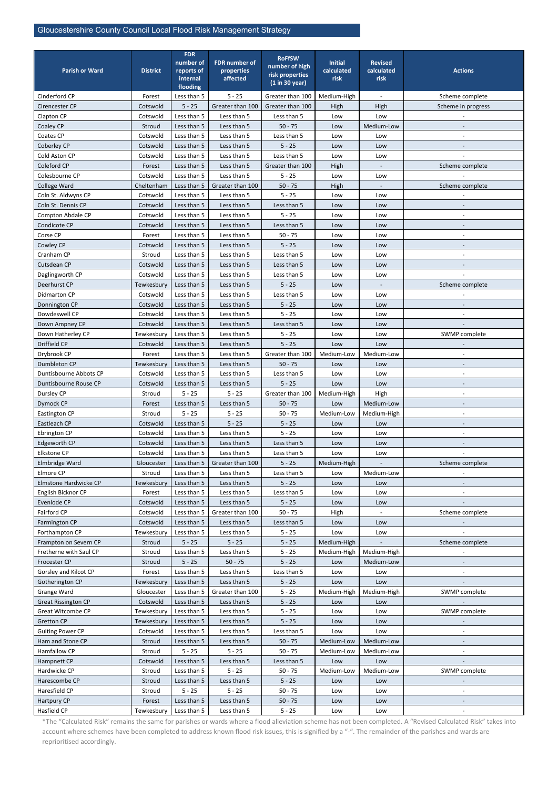| <b>Parish or Ward</b>          | <b>District</b>        | <b>FDR</b><br>number of<br>reports of | <b>FDR number of</b><br><b>properties</b> | <b>RoFfSW</b><br>number of high   | <b>Initial</b><br>calculated | <b>Revised</b><br>calculated | <b>Actions</b>           |
|--------------------------------|------------------------|---------------------------------------|-------------------------------------------|-----------------------------------|------------------------------|------------------------------|--------------------------|
|                                |                        | internal<br>flooding                  | affected                                  | risk properties<br>(1 in 30 year) | risk                         | risk                         |                          |
| Cinderford CP                  | Forest                 | Less than 5                           | $5 - 25$                                  | Greater than 100                  | Medium-High                  |                              | Scheme complete          |
| Cirencester CP                 | Cotswold               | $5 - 25$                              | Greater than 100                          | Greater than 100                  | High                         | High                         | Scheme in progress       |
| Clapton CP                     | Cotswold               | Less than 5                           | Less than 5                               | Less than 5                       | Low                          | Low                          |                          |
| Coaley CP                      | Stroud                 | Less than 5                           | Less than 5                               | $50 - 75$                         | Low                          | Medium-Low                   |                          |
| Coates CP                      | Cotswold               | Less than 5                           | Less than 5                               | Less than 5                       | Low                          | Low                          |                          |
| Coberley CP                    | Cotswold               | Less than 5                           | Less than 5                               | $5 - 25$                          | Low                          | Low                          |                          |
| Cold Aston CP                  | Cotswold               | Less than 5                           | Less than 5                               | Less than 5                       | Low                          | Low                          |                          |
| Coleford CP                    | Forest                 | Less than 5                           | Less than 5                               | Greater than 100                  | High                         |                              | Scheme complete          |
| Colesbourne CP                 | Cotswold               | Less than 5                           | Less than 5                               | $5 - 25$                          | Low                          | Low                          |                          |
| College Ward                   | Cheltenham             | Less than 5                           | Greater than 100                          | $50 - 75$                         | High                         |                              | Scheme complete          |
| Coln St. Aldwyns CP            | Cotswold               | Less than 5                           | Less than 5                               | $5 - 25$                          | Low                          | Low                          |                          |
| Coln St. Dennis CP             | Cotswold               | Less than 5                           | Less than 5                               | Less than 5                       | Low                          | Low                          |                          |
| Compton Abdale CP              | Cotswold               | Less than 5                           | Less than 5                               | $5 - 25$                          | Low                          | Low                          |                          |
| Condicote CP                   | Cotswold               | Less than 5                           | Less than 5                               | Less than 5                       | Low                          | Low                          |                          |
| Corse CP                       | Forest                 | Less than 5                           | Less than 5                               | $50 - 75$                         | Low                          | Low                          |                          |
| Cowley CP                      | Cotswold               | Less than 5                           | Less than 5                               | $5 - 25$                          | Low                          | Low                          |                          |
| Cranham CP                     | Stroud                 | Less than 5                           | Less than 5                               | Less than 5                       | Low                          | Low                          |                          |
| Cutsdean CP                    | Cotswold               | Less than 5                           | Less than 5                               | Less than 5                       | Low                          | Low                          |                          |
| Daglingworth CP                | Cotswold               | Less than 5                           | Less than 5                               | Less than 5                       | Low                          | Low                          |                          |
| Deerhurst CP                   |                        | Less than 5                           | Less than 5                               | $5 - 25$                          |                              |                              | Scheme complete          |
| Didmarton CP                   | Tewkesbury<br>Cotswold | Less than 5                           | Less than 5                               | Less than 5                       | Low                          |                              |                          |
|                                | Cotswold               | Less than 5                           | Less than 5                               | $5 - 25$                          | Low                          | Low<br>Low                   |                          |
| Donnington CP<br>Dowdeswell CP |                        | Less than 5                           | Less than 5                               | $5 - 25$                          | Low                          |                              |                          |
|                                | Cotswold               |                                       |                                           |                                   | Low                          | Low                          |                          |
| Down Ampney CP                 | Cotswold               | Less than 5                           | Less than 5                               | Less than 5                       | Low                          | Low                          |                          |
| Down Hatherley CP              | Tewkesbury             | Less than 5                           | Less than 5                               | $5 - 25$                          | Low                          | Low                          | SWMP complete            |
| Driffield CP                   | Cotswold               | Less than 5                           | Less than 5                               | $5 - 25$                          | Low                          | Low                          |                          |
| Drybrook CP                    | Forest                 | Less than 5                           | Less than 5                               | Greater than 100                  | Medium-Low                   | Medium-Low                   |                          |
| Dumbleton CP                   | Tewkesbury             | Less than 5                           | Less than 5                               | $50 - 75$                         | Low                          | Low                          |                          |
| Duntisbourne Abbots CP         | Cotswold               | Less than 5                           | Less than 5                               | Less than 5                       | Low                          | Low                          | $\overline{\phantom{a}}$ |
| Duntisbourne Rouse CP          | Cotswold               | Less than 5                           | Less than 5                               | $5 - 25$                          | Low                          | Low                          |                          |
| Dursley CP                     | Stroud                 | $5 - 25$                              | $5 - 25$                                  | Greater than 100                  | Medium-High                  | High                         | $\overline{\phantom{a}}$ |
| Dymock CP                      | Forest                 | Less than 5                           | Less than 5                               | $50 - 75$                         | Low                          | Medium-Low                   |                          |
| Eastington CP                  | Stroud                 | $5 - 25$                              | $5 - 25$                                  | $50 - 75$                         | Medium-Low                   | Medium-High                  | $\overline{\phantom{a}}$ |
| Eastleach CP                   | Cotswold               | Less than 5                           | $5 - 25$                                  | $5 - 25$                          | Low                          | Low                          |                          |
| Ebrington CP                   | Cotswold               | Less than 5                           | Less than 5                               | $5 - 25$                          | Low                          | Low                          |                          |
| Edgeworth CP                   | Cotswold               | Less than 5                           | Less than 5                               | Less than 5                       | Low                          | Low                          |                          |
| <b>Elkstone CP</b>             | Cotswold               | Less than 5                           | Less than 5                               | Less than 5                       | Low                          | Low                          |                          |
| Elmbridge Ward                 | Gloucester             | Less than 5                           | Greater than 100                          | $5 - 25$                          | Medium-High                  |                              | Scheme complete          |
| Elmore CP                      | Stroud                 | Less than 5                           | Less than 5                               | Less than 5                       | Low                          | Medium-Low                   | $\overline{\phantom{a}}$ |
| Elmstone Hardwicke CP          | Tewkesbury             | Less than 5                           | Less than 5                               | $5 - 25$                          | Low                          | Low                          |                          |
| English Bicknor CP             | Forest                 | Less than 5                           | Less than 5                               | Less than 5                       | Low                          | Low                          | $\overline{\phantom{a}}$ |
| Evenlode CP                    | Cotswold               | Less than 5                           | Less than 5                               | $5 - 25$                          | Low                          | Low                          |                          |
| Fairford CP                    | Cotswold               | Less than 5                           | Greater than 100                          | $50 - 75$                         | High                         |                              | Scheme complete          |
| Farmington CP                  | Cotswold               | Less than 5                           | Less than 5                               | Less than 5                       | Low                          | Low                          |                          |
| Forthampton CP                 | Tewkesbury             | Less than 5                           | Less than 5                               | $5 - 25$                          | Low                          | Low                          |                          |
| Frampton on Severn CP          | Stroud                 | $5 - 25$                              | $5 - 25$                                  | $5 - 25$                          | Medium-High                  |                              | Scheme complete          |
| Fretherne with Saul CP         | Stroud                 | Less than 5                           | Less than 5                               | $5 - 25$                          | Medium-High                  | Medium-High                  |                          |
| Frocester CP                   | Stroud                 | $5 - 25$                              | $50 - 75$                                 | $5 - 25$                          | Low                          | Medium-Low                   |                          |
| Gorsley and Kilcot CP          | Forest                 | Less than 5                           | Less than 5                               | Less than 5                       | Low                          | Low                          | $\overline{\phantom{a}}$ |
| Gotherington CP                | Tewkesbury             | Less than 5                           | Less than 5                               | $5 - 25$                          | Low                          | Low                          |                          |
| Grange Ward                    | Gloucester             | Less than 5                           | Greater than 100                          | $5 - 25$                          | Medium-High                  | Medium-High                  | SWMP complete            |
| <b>Great Rissington CP</b>     | Cotswold               | Less than 5                           | Less than 5                               | $5 - 25$                          | Low                          | Low                          |                          |
| Great Witcombe CP              | Tewkesbury             | Less than 5                           | Less than 5                               | $5 - 25$                          | Low                          | Low                          | SWMP complete            |
| <b>Gretton CP</b>              | Tewkesbury             | Less than 5                           | Less than 5                               | $5 - 25$                          | Low                          | Low                          |                          |
| <b>Guiting Power CP</b>        | Cotswold               | Less than 5                           | Less than 5                               | Less than 5                       | Low                          | Low                          |                          |
| Ham and Stone CP               | Stroud                 | Less than 5                           | Less than 5                               | $50 - 75$                         | Medium-Low                   | Medium-Low                   |                          |
| Hamfallow CP                   | Stroud                 | $5 - 25$                              | $5 - 25$                                  | $50 - 75$                         | Medium-Low                   | Medium-Low                   |                          |
| Hampnett CP                    | Cotswold               | Less than 5                           | Less than 5                               | Less than 5                       | Low                          | Low                          |                          |
| Hardwicke CP                   | Stroud                 | Less than 5                           | $5 - 25$                                  | $50 - 75$                         | Medium-Low                   | Medium-Low                   | SWMP complete            |
| Harescombe CP                  | Stroud                 | Less than 5                           | Less than 5                               | $5 - 25$                          | Low                          | Low                          |                          |
| Haresfield CP                  | Stroud                 | $5 - 25$                              | $5 - 25$                                  | $50 - 75$                         | Low                          | Low                          |                          |
| Hartpury CP                    | Forest                 | Less than 5                           | Less than 5                               | $50 - 75$                         | Low                          | Low                          |                          |
| Hasfield CP                    | Tewkesbury             | Less than 5                           | Less than 5                               | $5 - 25$                          | Low                          | Low                          | $\blacksquare$           |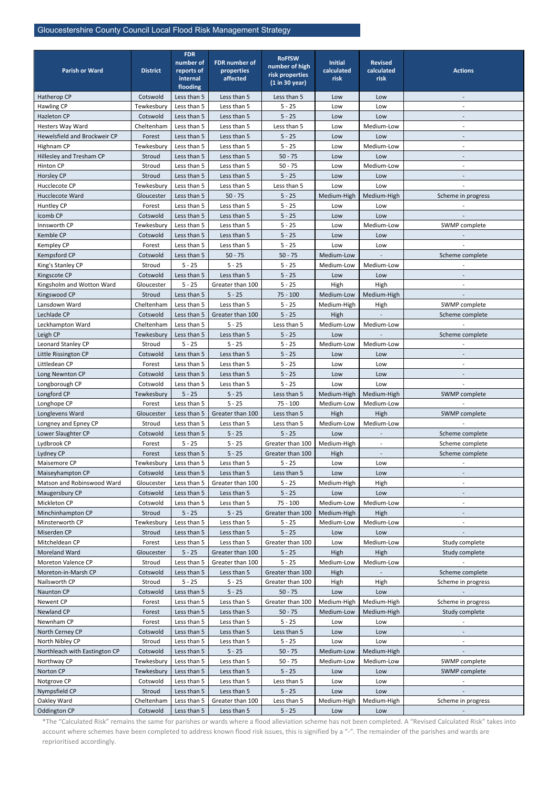| <b>Parish or Ward</b>         | <b>District</b>        | <b>FDR</b><br>number of<br>reports of | <b>FDR number of</b><br>properties | <b>RoFfSW</b><br>number of high<br>risk properties | <b>Initial</b><br>calculated | <b>Revised</b><br>calculated | <b>Actions</b>           |
|-------------------------------|------------------------|---------------------------------------|------------------------------------|----------------------------------------------------|------------------------------|------------------------------|--------------------------|
|                               |                        | internal<br>flooding                  | affected                           | (1 in 30 year)                                     | risk                         | risk                         |                          |
| Hatherop CP                   | Cotswold               | Less than 5                           | Less than 5                        | Less than 5                                        | Low                          | Low                          |                          |
| <b>Hawling CP</b>             | Tewkesbury             | Less than 5                           | Less than 5                        | $5 - 25$                                           | Low                          | Low                          | $\sim$                   |
| <b>Hazleton CP</b>            | Cotswold               | Less than 5                           | Less than 5                        | $5 - 25$                                           | Low                          | Low                          |                          |
| Hesters Way Ward              | Cheltenham             | Less than 5                           | Less than 5                        | Less than 5                                        | Low                          | Medium-Low                   | $\overline{\phantom{a}}$ |
| Hewelsfield and Brockweir CP  | Forest                 | Less than 5                           | Less than 5                        | $5 - 25$                                           | Low                          | Low                          |                          |
| Highnam CP                    | Tewkesbury             | Less than 5                           | Less than 5                        | $5 - 25$                                           | Low                          | Medium-Low                   | $\overline{\phantom{a}}$ |
| Hillesley and Tresham CP      | Stroud                 | Less than 5                           | Less than 5                        | $50 - 75$                                          | Low                          | Low                          |                          |
| Hinton CP                     | Stroud                 | Less than 5                           | Less than 5                        | $50 - 75$                                          | Low                          | Medium-Low                   |                          |
| Horsley CP                    | Stroud                 | Less than 5                           | Less than 5                        | $5 - 25$                                           | Low                          | Low                          |                          |
| Hucclecote CP                 | Tewkesbury             | Less than 5                           | Less than 5                        | Less than 5                                        | Low                          | Low                          |                          |
| Hucclecote Ward               | Gloucester             | Less than 5                           | $50 - 75$                          | $5 - 25$                                           | Medium-High                  | Medium-High                  | Scheme in progress       |
| Huntley CP                    | Forest                 | Less than 5                           | Less than 5                        | $5 - 25$                                           | Low                          | Low                          |                          |
| Icomb CP                      | Cotswold               | Less than 5                           | Less than 5                        | $5 - 25$                                           | Low                          | Low                          |                          |
| Innsworth CP                  | Tewkesbury             | Less than 5<br>Less than 5            | Less than 5                        | $5 - 25$                                           | Low                          | Medium-Low                   | SWMP complete            |
| Kemble CP<br>Kempley CP       | Cotswold<br>Forest     | Less than 5                           | Less than 5<br>Less than 5         | $5 - 25$<br>$5 - 25$                               | Low<br>Low                   | Low<br>Low                   |                          |
| Kempsford CP                  | Cotswold               | Less than 5                           | $50 - 75$                          | $50 - 75$                                          | Medium-Low                   |                              | Scheme complete          |
| King's Stanley CP             | Stroud                 | $5 - 25$                              | $5 - 25$                           | $5 - 25$                                           | Medium-Low                   | Medium-Low                   |                          |
| Kingscote CP                  | Cotswold               | Less than 5                           | Less than 5                        | $5 - 25$                                           | Low                          | Low                          |                          |
| Kingsholm and Wotton Ward     | Gloucester             | $5 - 25$                              | Greater than 100                   | $5 - 25$                                           | High                         | High                         |                          |
| Kingswood CP                  | Stroud                 | Less than 5                           | $5 - 25$                           | $75 - 100$                                         | Medium-Low                   | Medium-High                  |                          |
| Lansdown Ward                 | Cheltenham             | Less than 5                           | Less than 5                        | $5 - 25$                                           | Medium-High                  | High                         | SWMP complete            |
| Lechlade CP                   | Cotswold               | Less than 5                           | Greater than 100                   | $5 - 25$                                           | High                         |                              | Scheme complete          |
| Leckhampton Ward              | Cheltenham             | Less than 5                           | $5 - 25$                           | Less than 5                                        | Medium-Low                   | Medium-Low                   |                          |
| Leigh CP                      | Tewkesbury             | Less than 5                           | Less than 5                        | $5 - 25$                                           | Low                          |                              | Scheme complete          |
| Leonard Stanley CP            | Stroud                 | $5 - 25$                              | $5 - 25$                           | $5 - 25$                                           | Medium-Low                   | Medium-Low                   |                          |
| Little Rissington CP          | Cotswold               | Less than 5                           | Less than 5                        | $5 - 25$                                           | Low                          | Low                          |                          |
| Littledean CP                 | Forest                 | Less than 5                           | Less than 5                        | $5 - 25$                                           | Low                          | Low                          |                          |
| Long Newnton CP               | Cotswold               | Less than 5                           | Less than 5                        | $5 - 25$                                           | Low                          | Low                          |                          |
| Longborough CP                | Cotswold               | Less than 5                           | Less than 5                        | $5 - 25$                                           | Low                          | Low                          |                          |
| Longford CP                   | Tewkesbury             | $5 - 25$                              | $5 - 25$                           | Less than 5                                        | Medium-High                  | Medium-High                  | SWMP complete            |
| Longhope CP                   | Forest                 | Less than 5                           | $5 - 25$                           | $75 - 100$                                         | Medium-Low                   | Medium-Low                   |                          |
| Longlevens Ward               | Gloucester             | Less than 5                           | Greater than 100                   | Less than 5                                        | High                         | High                         | SWMP complete            |
| Longney and Epney CP          | Stroud                 | Less than 5                           | Less than 5                        | Less than 5                                        | Medium-Low                   | Medium-Low                   |                          |
| Lower Slaughter CP            | Cotswold               | Less than 5                           | $5 - 25$                           | $5 - 25$                                           | Low                          |                              | Scheme complete          |
| Lydbrook CP                   | Forest                 | $5 - 25$                              | $5 - 25$                           | Greater than 100                                   | Medium-High                  | $\blacksquare$               | Scheme complete          |
| Lydney CP<br>Maisemore CP     | Forest                 | Less than 5<br>Less than 5            | $5 - 25$<br>Less than 5            | Greater than 100                                   | High                         | $\overline{\phantom{a}}$     | Scheme complete          |
| Maiseyhampton CP              | Tewkesbury<br>Cotswold | Less than 5                           | Less than 5                        | $5 - 25$<br>Less than 5                            | Low<br>Low                   | Low<br>Low                   |                          |
| Matson and Robinswood Ward    | Gloucester             | Less than 5                           | Greater than 100                   | $5 - 25$                                           | Medium-High                  | High                         |                          |
| Maugersbury CP                | Cotswold               | Less than 5                           | Less than 5                        | $5 - 25$                                           | Low                          | Low                          |                          |
| Mickleton CP                  | Cotswold               | Less than 5                           | Less than 5                        | $75 - 100$                                         | Medium-Low                   | Medium-Low                   |                          |
| Minchinhampton CP             | Stroud                 | $5 - 25$                              | $5 - 25$                           | Greater than 100                                   | Medium-High                  | High                         |                          |
| Minsterworth CP               | Tewkesbury             | Less than 5                           | Less than 5                        | $5 - 25$                                           | Medium-Low                   | Medium-Low                   |                          |
| Miserden CP                   | Stroud                 | Less than 5                           | Less than 5                        | $5 - 25$                                           | Low                          | Low                          |                          |
| Mitcheldean CP                | Forest                 | Less than 5                           | Less than 5                        | Greater than 100                                   | Low                          | Medium-Low                   | Study complete           |
| Moreland Ward                 | Gloucester             | $5 - 25$                              | Greater than 100                   | $5 - 25$                                           | High                         | High                         | Study complete           |
| Moreton Valence CP            | Stroud                 | Less than 5                           | Greater than 100                   | $5 - 25$                                           | Medium-Low                   | Medium-Low                   |                          |
| Moreton-in-Marsh CP           | Cotswold               | Less than 5                           | Less than 5                        | Greater than 100                                   | High                         | $\blacksquare$               | Scheme complete          |
| Nailsworth CP                 | Stroud                 | $5 - 25$                              | $5 - 25$                           | Greater than 100                                   | High                         | High                         | Scheme in progress       |
| Naunton CP                    | Cotswold               | Less than 5                           | $5 - 25$                           | $50 - 75$                                          | Low                          | Low                          |                          |
| Newent CP                     | Forest                 | Less than 5                           | Less than 5                        | Greater than 100                                   | Medium-High                  | Medium-High                  | Scheme in progress       |
| Newland CP                    | Forest                 | Less than 5                           | Less than 5                        | $50 - 75$                                          | Medium-Low                   | Medium-High                  | Study complete           |
| Newnham CP                    | Forest                 | Less than 5                           | Less than 5                        | $5 - 25$                                           | Low                          | Low                          |                          |
| North Cerney CP               | Cotswold               | Less than 5                           | Less than 5                        | Less than 5                                        | Low                          | Low                          |                          |
| North Nibley CP               | Stroud                 | Less than 5                           | Less than 5                        | $5 - 25$                                           | Low                          | Low                          |                          |
| Northleach with Eastington CP | Cotswold               | Less than 5                           | $5 - 25$                           | $50 - 75$                                          | Medium-Low                   | Medium-High                  |                          |
| Northway CP                   | Tewkesbury             | Less than 5                           | Less than 5                        | $50 - 75$                                          | Medium-Low                   | Medium-Low                   | SWMP complete            |
| Norton CP                     | Tewkesbury             | Less than 5                           | Less than 5                        | $5 - 25$                                           | Low                          | Low                          | SWMP complete            |
| Notgrove CP<br>Nympsfield CP  | Cotswold<br>Stroud     | Less than 5<br>Less than 5            | Less than 5<br>Less than 5         | Less than 5<br>$5 - 25$                            | Low<br>Low                   | Low<br>Low                   |                          |
| Oakley Ward                   | Cheltenham             | Less than 5                           | Greater than 100                   | Less than 5                                        | Medium-High                  | Medium-High                  | Scheme in progress       |
| Oddington CP                  | Cotswold               | Less than 5                           | Less than 5                        | $5 - 25$                                           | Low                          | Low                          |                          |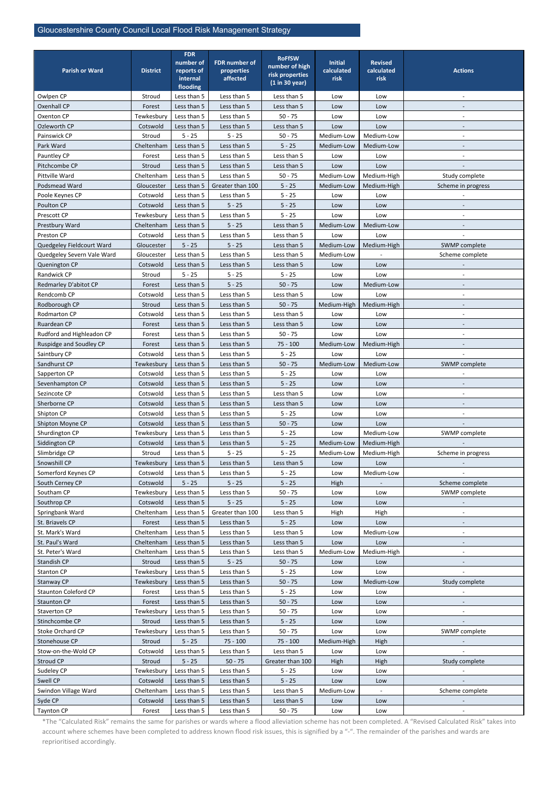| <b>Parish or Ward</b>       | <b>District</b> | <b>FDR</b><br>number of<br>reports of<br>internal<br>flooding | <b>FDR number of</b><br>properties<br>affected | <b>RoFfSW</b><br>number of high<br>risk properties<br>(1 in 30 year) | <b>Initial</b><br>calculated<br>risk | <b>Revised</b><br>calculated<br>risk | <b>Actions</b>           |
|-----------------------------|-----------------|---------------------------------------------------------------|------------------------------------------------|----------------------------------------------------------------------|--------------------------------------|--------------------------------------|--------------------------|
| Owlpen CP                   | Stroud          | Less than 5                                                   | Less than 5                                    | Less than 5                                                          | Low                                  | Low                                  |                          |
| <b>Oxenhall CP</b>          | Forest          | Less than 5                                                   | Less than 5                                    | Less than 5                                                          | Low                                  | Low                                  |                          |
| Oxenton CP                  | Tewkesbury      | Less than 5                                                   | Less than 5                                    | $50 - 75$                                                            | Low                                  | Low                                  |                          |
| Ozleworth CP                | Cotswold        | Less than 5                                                   | Less than 5                                    | Less than 5                                                          | Low                                  | Low                                  |                          |
| Painswick CP                | Stroud          | $5 - 25$                                                      | $5 - 25$                                       | $50 - 75$                                                            | Medium-Low                           | Medium-Low                           |                          |
| Park Ward                   | Cheltenham      | Less than 5                                                   | Less than 5                                    | $5 - 25$                                                             | Medium-Low                           | Medium-Low                           |                          |
| Pauntley CP                 | Forest          | Less than 5                                                   | Less than 5                                    | Less than 5                                                          | Low                                  | Low                                  |                          |
| Pitchcombe CP               | Stroud          | Less than 5                                                   | Less than 5                                    | Less than 5                                                          | Low                                  | Low                                  |                          |
| Pittville Ward              | Cheltenham      | Less than 5                                                   | Less than 5                                    | $50 - 75$                                                            | Medium-Low                           | Medium-High                          | Study complete           |
| Podsmead Ward               | Gloucester      | Less than 5                                                   | Greater than 100                               | $5 - 25$                                                             | Medium-Low                           | Medium-High                          | Scheme in progress       |
| Poole Keynes CP             | Cotswold        | Less than 5                                                   | Less than 5                                    | $5 - 25$                                                             | Low                                  | Low                                  |                          |
| Poulton CP                  | Cotswold        | Less than 5                                                   | $5 - 25$                                       | $5 - 25$                                                             | Low                                  | Low                                  |                          |
| Prescott CP                 | Tewkesbury      | Less than 5                                                   | Less than 5                                    | $5 - 25$                                                             | Low                                  | Low                                  |                          |
| Prestbury Ward              | Cheltenham      | Less than 5                                                   | $5 - 25$                                       | Less than 5                                                          | Medium-Low                           | Medium-Low                           |                          |
| Preston CP                  | Cotswold        | Less than 5                                                   | Less than 5                                    | Less than 5                                                          | Low                                  | Low                                  |                          |
| Quedgeley Fieldcourt Ward   | Gloucester      | $5 - 25$                                                      | $5 - 25$                                       | Less than 5                                                          | Medium-Low                           | Medium-High                          | SWMP complete            |
| Quedgeley Severn Vale Ward  | Gloucester      | Less than 5                                                   | Less than 5                                    | Less than 5                                                          | Medium-Low                           |                                      | Scheme complete          |
| Quenington CP               | Cotswold        | Less than 5                                                   | Less than 5                                    | Less than 5                                                          | Low                                  | Low                                  |                          |
| Randwick CP                 | Stroud          | $5 - 25$                                                      | $5 - 25$                                       | $5 - 25$                                                             | Low                                  | Low                                  |                          |
| Redmarley D'abitot CP       | Forest          | Less than 5                                                   | $5 - 25$                                       | $50 - 75$                                                            | Low                                  | Medium-Low                           |                          |
| Rendcomb CP                 | Cotswold        | Less than 5                                                   | Less than 5                                    | Less than 5                                                          | Low                                  | Low                                  |                          |
| Rodborough CP               | Stroud          | Less than 5                                                   | Less than 5                                    | $50 - 75$                                                            | Medium-High                          | Medium-High                          |                          |
| Rodmarton CP                | Cotswold        | Less than 5                                                   | Less than 5                                    | Less than 5                                                          | Low                                  | Low                                  |                          |
| Ruardean CP                 | Forest          | Less than 5                                                   | Less than 5                                    | Less than 5                                                          | Low                                  | Low                                  |                          |
| Rudford and Highleadon CP   | Forest          | Less than 5                                                   | Less than 5                                    | $50 - 75$                                                            | Low                                  | Low                                  |                          |
| Ruspidge and Soudley CP     | Forest          | Less than 5                                                   | Less than 5                                    | $75 - 100$                                                           | Medium-Low                           | Medium-High                          |                          |
| Saintbury CP                | Cotswold        | Less than 5                                                   | Less than 5                                    | $5 - 25$                                                             | Low                                  | Low                                  |                          |
| Sandhurst CP                | Tewkesbury      | Less than 5                                                   | Less than 5                                    | $50 - 75$                                                            | Medium-Low                           | Medium-Low                           | SWMP complete            |
| Sapperton CP                | Cotswold        | Less than 5                                                   | Less than 5                                    | $5 - 25$                                                             | Low                                  | Low                                  |                          |
| Sevenhampton CP             | Cotswold        | Less than 5                                                   | Less than 5                                    | $5 - 25$                                                             | Low                                  | Low                                  |                          |
| Sezincote CP                | Cotswold        | Less than 5                                                   | Less than 5                                    | Less than 5                                                          | Low                                  | Low                                  | $\blacksquare$           |
| Sherborne CP                | Cotswold        | Less than 5                                                   | Less than 5                                    | Less than 5                                                          | Low                                  | Low                                  |                          |
| Shipton CP                  | Cotswold        | Less than 5                                                   | Less than 5                                    | $5 - 25$                                                             | Low                                  | Low                                  | $\blacksquare$           |
| Shipton Moyne CP            | Cotswold        | Less than 5                                                   | Less than 5                                    | $50 - 75$                                                            | Low                                  | Low                                  |                          |
| Shurdington CP              | Tewkesbury      | Less than 5                                                   | Less than 5                                    | $5 - 25$                                                             | Low                                  | Medium-Low                           | SWMP complete            |
| Siddington CP               | Cotswold        | Less than 5                                                   | Less than 5                                    | $5 - 25$                                                             | Medium-Low                           | Medium-High                          |                          |
| Slimbridge CP               | Stroud          | Less than 5                                                   | $5 - 25$                                       | $5 - 25$                                                             | Medium-Low                           | Medium-High                          | Scheme in progress       |
| Snowshill CP                | Tewkesbury      | Less than 5                                                   | Less than 5                                    | Less than 5                                                          | Low                                  | Low                                  |                          |
| Somerford Keynes CP         | Cotswold        | Less than 5                                                   | Less than 5                                    | $5 - 25$                                                             | Low                                  | Medium-Low                           |                          |
| South Cerney CP             | Cotswold        | $5 - 25$                                                      | $5 - 25$                                       | $5 - 25$                                                             | High                                 |                                      | Scheme complete          |
| Southam CP                  | Tewkesbury      | Less than 5                                                   | Less than 5                                    | $50 - 75$                                                            | Low                                  | Low                                  | SWMP complete            |
| Southrop CP                 | Cotswold        | Less than 5                                                   | $5 - 25$                                       | $5 - 25$                                                             | Low                                  | Low                                  |                          |
| Springbank Ward             | Cheltenham      | Less than 5                                                   | Greater than 100                               | Less than 5                                                          | High                                 | High                                 | $\overline{\phantom{a}}$ |
| St. Briavels CP             | Forest          | Less than 5                                                   | Less than 5                                    | $5 - 25$                                                             | Low                                  | Low                                  |                          |
| St. Mark's Ward             | Cheltenham      | Less than 5                                                   | Less than 5                                    | Less than 5                                                          | Low                                  | Medium-Low                           | $\overline{\phantom{a}}$ |
| St. Paul's Ward             | Cheltenham      | Less than 5                                                   | Less than 5                                    | Less than 5                                                          | Low                                  | Low                                  |                          |
| St. Peter's Ward            | Cheltenham      | Less than 5                                                   | Less than 5                                    | Less than 5                                                          | Medium-Low                           | Medium-High                          |                          |
| Standish CP                 | Stroud          | Less than 5                                                   | $5 - 25$                                       | $50 - 75$                                                            | Low                                  | Low                                  |                          |
| Stanton CP                  | Tewkesbury      | Less than 5                                                   | Less than 5                                    | $5 - 25$                                                             | Low                                  | Low                                  |                          |
| Stanway CP                  | Tewkesbury      | Less than 5                                                   | Less than 5                                    | $50 - 75$                                                            | Low                                  | Medium-Low                           | Study complete           |
| <b>Staunton Coleford CP</b> | Forest          | Less than 5                                                   | Less than 5                                    | $5 - 25$                                                             | Low                                  | Low                                  | $\overline{\phantom{a}}$ |
| <b>Staunton CP</b>          | Forest          | Less than 5                                                   | Less than 5                                    | $50 - 75$                                                            | Low                                  | Low                                  |                          |
| Staverton CP                | Tewkesbury      | Less than 5                                                   | Less than 5                                    | $50 - 75$                                                            | Low                                  | Low                                  |                          |
| Stinchcombe CP              | Stroud          | Less than 5                                                   | Less than 5                                    | $5 - 25$                                                             | Low                                  | Low                                  |                          |
| Stoke Orchard CP            | Tewkesbury      | Less than 5                                                   | Less than 5                                    | $50 - 75$                                                            | Low                                  | Low                                  | SWMP complete            |
| Stonehouse CP               | Stroud          | $5 - 25$                                                      | $75 - 100$                                     | $75 - 100$                                                           | Medium-High                          | High                                 |                          |
| Stow-on-the-Wold CP         | Cotswold        | Less than 5                                                   | Less than 5                                    | Less than 5                                                          | Low                                  | Low                                  |                          |
| Stroud CP                   | Stroud          | $5 - 25$                                                      | $50 - 75$                                      | Greater than 100                                                     | High                                 | High                                 | Study complete           |
| Sudeley CP                  | Tewkesbury      | Less than 5                                                   | Less than 5                                    | $5 - 25$                                                             | Low                                  | Low                                  |                          |
| Swell CP                    | Cotswold        | Less than 5                                                   | Less than 5                                    | $5 - 25$                                                             | Low                                  | Low                                  |                          |
| Swindon Village Ward        | Cheltenham      | Less than 5                                                   | Less than 5                                    | Less than 5                                                          | Medium-Low                           | $\blacksquare$                       | Scheme complete          |
| Syde CP                     | Cotswold        | Less than 5                                                   | Less than 5                                    | Less than 5                                                          | Low                                  | Low                                  |                          |
| Taynton CP                  | Forest          | Less than 5                                                   | Less than 5                                    | $50 - 75$                                                            | Low                                  | Low                                  | $\overline{\phantom{a}}$ |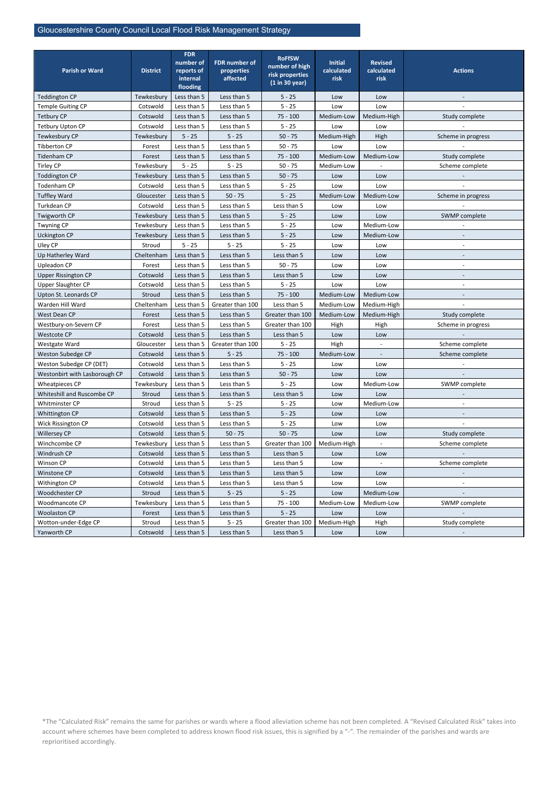| <b>Parish or Ward</b>         | <b>District</b> | <b>FDR</b><br>number of<br>reports of<br>internal<br>flooding | <b>FDR</b> number of<br>properties<br>affected | <b>RoFfSW</b><br>number of high<br>risk properties<br>(1 in 30 year) | <b>Initial</b><br>calculated<br>risk | <b>Revised</b><br>calculated<br>risk | <b>Actions</b>           |  |
|-------------------------------|-----------------|---------------------------------------------------------------|------------------------------------------------|----------------------------------------------------------------------|--------------------------------------|--------------------------------------|--------------------------|--|
| <b>Teddington CP</b>          | Tewkesbury      | Less than 5                                                   | Less than 5                                    | $5 - 25$                                                             | Low                                  | Low                                  |                          |  |
| Temple Guiting CP             | Cotswold        | Less than 5                                                   | Less than 5                                    | $5 - 25$                                                             | Low                                  | Low                                  |                          |  |
| <b>Tetbury CP</b>             | Cotswold        | Less than 5                                                   | Less than 5                                    | $75 - 100$                                                           | Medium-Low                           | Medium-High                          | Study complete           |  |
| <b>Tetbury Upton CP</b>       | Cotswold        | Less than 5                                                   | Less than 5                                    | $5 - 25$                                                             | Low                                  | Low                                  |                          |  |
| Tewkesbury CP                 | Tewkesbury      | $5 - 25$                                                      | $5 - 25$                                       | $50 - 75$                                                            | Medium-High                          | High                                 | Scheme in progress       |  |
| Tibberton CP                  | Forest          | Less than 5                                                   | Less than 5                                    | $50 - 75$                                                            | Low                                  | Low                                  |                          |  |
| Tidenham CP                   | Forest          | Less than 5                                                   | Less than 5                                    | $75 - 100$                                                           | Medium-Low                           | Medium-Low                           | Study complete           |  |
| <b>Tirley CP</b>              | Tewkesbury      | $5 - 25$                                                      | $5 - 25$                                       | $50 - 75$                                                            | Medium-Low                           |                                      | Scheme complete          |  |
| <b>Toddington CP</b>          | Tewkesbury      | Less than 5                                                   | Less than 5                                    | $50 - 75$                                                            | Low                                  | Low                                  |                          |  |
| Todenham CP                   | Cotswold        | Less than 5                                                   | Less than 5                                    | $5 - 25$                                                             | Low                                  | Low                                  |                          |  |
| <b>Tuffley Ward</b>           | Gloucester      | Less than 5                                                   | $50 - 75$                                      | $5 - 25$                                                             | Medium-Low                           | Medium-Low                           | Scheme in progress       |  |
| Turkdean CP                   | Cotswold        | Less than 5                                                   | Less than 5                                    | Less than 5                                                          | Low                                  | Low                                  |                          |  |
| Twigworth CP                  | Tewkesbury      | Less than 5                                                   | Less than 5                                    | $5 - 25$                                                             | Low                                  | Low                                  | SWMP complete            |  |
| <b>Twyning CP</b>             | Tewkesbury      | Less than 5                                                   | Less than 5                                    | $5 - 25$                                                             | Low                                  | Medium-Low                           |                          |  |
| <b>Uckington CP</b>           | Tewkesbury      | Less than 5                                                   | Less than 5                                    | $5 - 25$                                                             | Low                                  | Medium-Low                           |                          |  |
| Uley CP                       | Stroud          | $5 - 25$                                                      | $5 - 25$                                       | $5 - 25$                                                             | Low                                  | Low                                  |                          |  |
| Up Hatherley Ward             | Cheltenham      | Less than 5                                                   | Less than 5                                    | Less than 5                                                          | Low                                  | Low                                  |                          |  |
| <b>Upleadon CP</b>            | Forest          | Less than 5                                                   | Less than 5                                    | $50 - 75$                                                            | Low                                  | Low                                  | $\overline{\phantom{a}}$ |  |
| <b>Upper Rissington CP</b>    | Cotswold        | Less than 5                                                   | Less than 5                                    | Less than 5                                                          | Low                                  | Low                                  |                          |  |
| <b>Upper Slaughter CP</b>     | Cotswold        | Less than 5                                                   | Less than 5                                    | $5 - 25$                                                             | Low                                  | Low                                  |                          |  |
| Upton St. Leonards CP         | Stroud          | Less than 5                                                   | Less than 5                                    | $75 - 100$                                                           | Medium-Low                           | Medium-Low                           |                          |  |
| Warden Hill Ward              | Cheltenham      | Less than 5                                                   | Greater than 100                               | Less than 5                                                          | Medium-Low                           | Medium-High                          |                          |  |
| West Dean CP                  | Forest          | Less than 5                                                   | Less than 5                                    | Greater than 100                                                     | Medium-Low                           | Medium-High                          | Study complete           |  |
| Westbury-on-Severn CP         | Forest          | Less than 5                                                   | Less than 5                                    | Greater than 100                                                     | High                                 | High                                 | Scheme in progress       |  |
| <b>Westcote CP</b>            | Cotswold        | Less than 5                                                   | Less than 5                                    | Less than 5                                                          | Low                                  | Low                                  |                          |  |
| Westgate Ward                 | Gloucester      | Less than 5                                                   | Greater than 100                               | $5 - 25$                                                             | High                                 |                                      | Scheme complete          |  |
| Weston Subedge CP             | Cotswold        | Less than 5                                                   | $5 - 25$                                       | $75 - 100$                                                           | Medium-Low                           |                                      | Scheme complete          |  |
| Weston Subedge CP (DET)       | Cotswold        | Less than 5                                                   | Less than 5                                    | $5 - 25$                                                             | Low                                  | Low                                  |                          |  |
| Westonbirt with Lasborough CP | Cotswold        | Less than 5                                                   | Less than 5                                    | $50 - 75$                                                            | Low                                  | Low                                  |                          |  |
| Wheatpieces CP                | Tewkesbury      | Less than 5                                                   | Less than 5                                    | $5 - 25$                                                             | Low                                  | Medium-Low                           | SWMP complete            |  |
| Whiteshill and Ruscombe CP    | Stroud          | Less than 5                                                   | Less than 5                                    | Less than 5                                                          | Low                                  | Low                                  |                          |  |
| Whitminster CP                | Stroud          | Less than 5                                                   | $5 - 25$                                       | $5 - 25$                                                             | Low                                  | Medium-Low                           |                          |  |
| Whittington CP                | Cotswold        | Less than 5                                                   | Less than 5                                    | $5 - 25$                                                             | Low                                  | Low                                  |                          |  |
| Wick Rissington CP            | Cotswold        | Less than 5                                                   | Less than 5                                    | $5 - 25$                                                             | Low                                  | Low                                  |                          |  |
| Willersey CP                  | Cotswold        | Less than 5                                                   | $50 - 75$                                      | $50 - 75$                                                            | Low                                  | Low                                  | Study complete           |  |
| Winchcombe CP                 | Tewkesbury      | Less than 5                                                   | Less than 5                                    | Greater than 100                                                     | Medium-High                          |                                      | Scheme complete          |  |
| Windrush CP                   | Cotswold        | Less than 5                                                   | Less than 5                                    | Less than 5                                                          | Low                                  | Low                                  |                          |  |
| Winson CP                     | Cotswold        | Less than 5                                                   | Less than 5                                    | Less than 5                                                          | Low                                  |                                      | Scheme complete          |  |
| Winstone CP                   | Cotswold        | Less than 5                                                   | Less than 5                                    | Less than 5                                                          | Low                                  | Low                                  |                          |  |
| Withington CP                 | Cotswold        | Less than 5                                                   | Less than 5                                    | Less than 5                                                          | Low                                  | Low                                  |                          |  |
| Woodchester CP                | Stroud          | Less than 5                                                   | $5 - 25$                                       | $5 - 25$                                                             | Low                                  | Medium-Low                           |                          |  |
| Woodmancote CP                | Tewkesbury      | Less than 5                                                   | Less than 5                                    | $75 - 100$                                                           | Medium-Low                           | Medium-Low                           | SWMP complete            |  |
| <b>Woolaston CP</b>           | Forest          | Less than 5                                                   | Less than 5                                    | $5 - 25$                                                             | Low                                  | Low                                  |                          |  |
| Wotton-under-Edge CP          | Stroud          | Less than 5                                                   | $5 - 25$                                       | Greater than 100                                                     | Medium-High                          | High                                 | Study complete           |  |
| Yanworth CP                   | Cotswold        | Less than 5                                                   | Less than 5                                    | Less than 5                                                          | Low                                  | Low                                  |                          |  |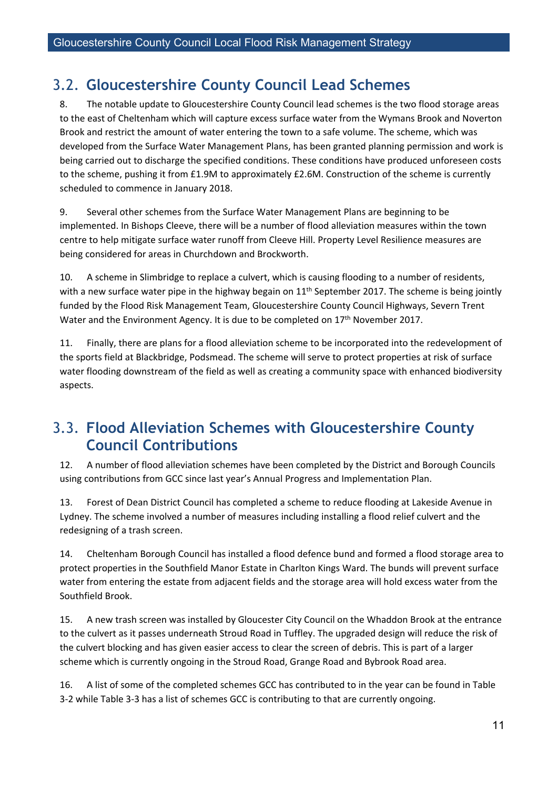### <span id="page-16-0"></span>3.2. **Gloucestershire County Council Lead Schemes**

8. The notable update to Gloucestershire County Council lead schemes is the two flood storage areas to the east of Cheltenham which will capture excess surface water from the Wymans Brook and Noverton Brook and restrict the amount of water entering the town to a safe volume. The scheme, which was developed from the Surface Water Management Plans, has been granted planning permission and work is being carried out to discharge the specified conditions. These conditions have produced unforeseen costs to the scheme, pushing it from £1.9M to approximately £2.6M. Construction of the scheme is currently scheduled to commence in January 2018.

9. Several other schemes from the Surface Water Management Plans are beginning to be implemented. In Bishops Cleeve, there will be a number of flood alleviation measures within the town centre to help mitigate surface water runoff from Cleeve Hill. Property Level Resilience measures are being considered for areas in Churchdown and Brockworth.

10. A scheme in Slimbridge to replace a culvert, which is causing flooding to a number of residents, with a new surface water pipe in the highway begain on 11<sup>th</sup> September 2017. The scheme is being jointly funded by the Flood Risk Management Team, Gloucestershire County Council Highways, Severn Trent Water and the Environment Agency. It is due to be completed on 17<sup>th</sup> November 2017.

11. Finally, there are plans for a flood alleviation scheme to be incorporated into the redevelopment of the sports field at Blackbridge, Podsmead. The scheme will serve to protect properties at risk of surface water flooding downstream of the field as well as creating a community space with enhanced biodiversity aspects.

### <span id="page-16-1"></span>3.3. **Flood Alleviation Schemes with Gloucestershire County Council Contributions**

12. A number of flood alleviation schemes have been completed by the District and Borough Councils using contributions from GCC since last year's Annual Progress and Implementation Plan.

13. Forest of Dean District Council has completed a scheme to reduce flooding at Lakeside Avenue in Lydney. The scheme involved a number of measures including installing a flood relief culvert and the redesigning of a trash screen.

14. Cheltenham Borough Council has installed a flood defence bund and formed a flood storage area to protect properties in the Southfield Manor Estate in Charlton Kings Ward. The bunds will prevent surface water from entering the estate from adjacent fields and the storage area will hold excess water from the Southfield Brook.

15. A new trash screen was installed by Gloucester City Council on the Whaddon Brook at the entrance to the culvert as it passes underneath Stroud Road in Tuffley. The upgraded design will reduce the risk of the culvert blocking and has given easier access to clear the screen of debris. This is part of a larger scheme which is currently ongoing in the Stroud Road, Grange Road and Bybrook Road area.

16. A list of some of the completed schemes GCC has contributed to in the year can be found in Table 3-2 while Table 3-3 has a list of schemes GCC is contributing to that are currently ongoing.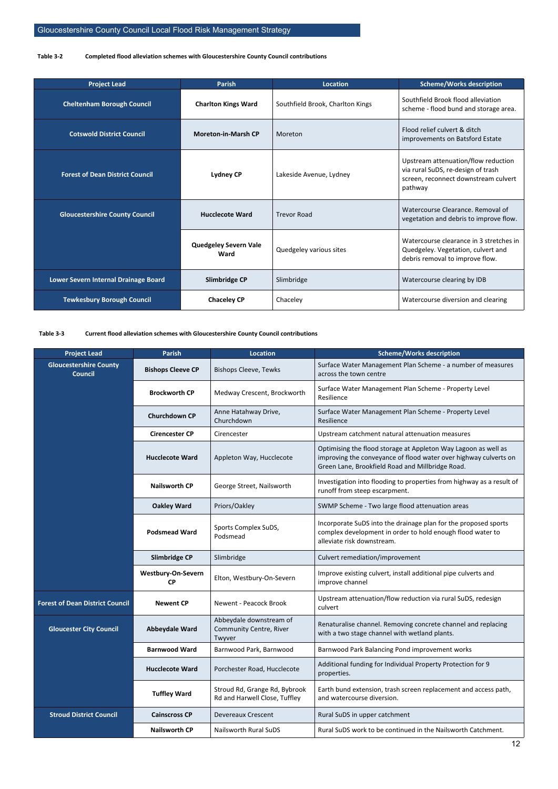#### <span id="page-17-0"></span>**Table 3-2 Completed flood alleviation schemes with Gloucestershire County Council contributions**

<span id="page-17-1"></span>

| <b>Project Lead</b>                    | <b>Parish</b>                        | Location                         | <b>Scheme/Works description</b>                                                                                              |
|----------------------------------------|--------------------------------------|----------------------------------|------------------------------------------------------------------------------------------------------------------------------|
| <b>Cheltenham Borough Council</b>      | <b>Charlton Kings Ward</b>           | Southfield Brook, Charlton Kings | Southfield Brook flood alleviation<br>scheme - flood bund and storage area.                                                  |
| <b>Cotswold District Council</b>       | <b>Moreton-in-Marsh CP</b>           | Moreton                          | Flood relief culvert & ditch<br>improvements on Batsford Estate                                                              |
| <b>Forest of Dean District Council</b> | <b>Lydney CP</b>                     | Lakeside Avenue, Lydney          | Upstream attenuation/flow reduction<br>via rural SuDS, re-design of trash<br>screen, reconnect downstream culvert<br>pathway |
| <b>Gloucestershire County Council</b>  | <b>Hucclecote Ward</b>               | <b>Trevor Road</b>               | Watercourse Clearance, Removal of<br>vegetation and debris to improve flow.                                                  |
|                                        | <b>Quedgeley Severn Vale</b><br>Ward | Quedgeley various sites          | Watercourse clearance in 3 stretches in<br>Quedgeley. Vegetation, culvert and<br>debris removal to improve flow.             |
| Lower Severn Internal Drainage Board   | Slimbridge CP                        | Slimbridge                       | Watercourse clearing by IDB                                                                                                  |
| <b>Tewkesbury Borough Council</b>      | <b>Chaceley CP</b>                   | Chaceley                         | Watercourse diversion and clearing                                                                                           |

#### **Table 3-3 Current flood alleviation schemes with Gloucestershire County Council contributions**

| <b>Project Lead</b>                             | <b>Parish</b>                          | <b>Location</b>                                                | <b>Scheme/Works description</b>                                                                                                                                                        |
|-------------------------------------------------|----------------------------------------|----------------------------------------------------------------|----------------------------------------------------------------------------------------------------------------------------------------------------------------------------------------|
| <b>Gloucestershire County</b><br><b>Council</b> | <b>Bishops Cleeve CP</b>               | <b>Bishops Cleeve, Tewks</b>                                   | Surface Water Management Plan Scheme - a number of measures<br>across the town centre                                                                                                  |
|                                                 | <b>Brockworth CP</b>                   | Medway Crescent, Brockworth                                    | Surface Water Management Plan Scheme - Property Level<br>Resilience                                                                                                                    |
| <b>Churchdown CP</b>                            |                                        | Anne Hatahway Drive,<br>Churchdown                             | Surface Water Management Plan Scheme - Property Level<br>Resilience                                                                                                                    |
|                                                 | <b>Cirencester CP</b>                  | Cirencester                                                    | Upstream catchment natural attenuation measures                                                                                                                                        |
|                                                 | <b>Hucclecote Ward</b>                 | Appleton Way, Hucclecote                                       | Optimising the flood storage at Appleton Way Lagoon as well as<br>improving the conveyance of flood water over highway culverts on<br>Green Lane, Brookfield Road and Millbridge Road. |
|                                                 | <b>Nailsworth CP</b>                   | George Street, Nailsworth                                      | Investigation into flooding to properties from highway as a result of<br>runoff from steep escarpment.                                                                                 |
|                                                 | <b>Oakley Ward</b>                     | Priors/Oakley                                                  | SWMP Scheme - Two large flood attenuation areas                                                                                                                                        |
| <b>Podsmead Ward</b>                            |                                        | Sports Complex SuDS,<br>Podsmead                               | Incorporate SuDS into the drainage plan for the proposed sports<br>complex development in order to hold enough flood water to<br>alleviate risk downstream.                            |
|                                                 | Slimbridge CP                          | Slimbridge                                                     | Culvert remediation/improvement                                                                                                                                                        |
|                                                 | <b>Westbury-On-Severn</b><br><b>CP</b> | Elton, Westbury-On-Severn                                      | Improve existing culvert, install additional pipe culverts and<br>improve channel                                                                                                      |
| <b>Forest of Dean District Council</b>          | <b>Newent CP</b>                       | Newent - Peacock Brook                                         | Upstream attenuation/flow reduction via rural SuDS, redesign<br>culvert                                                                                                                |
| <b>Gloucester City Council</b>                  | <b>Abbeydale Ward</b>                  | Abbeydale downstream of<br>Community Centre, River<br>Twyver   | Renaturalise channel. Removing concrete channel and replacing<br>with a two stage channel with wetland plants.                                                                         |
|                                                 | <b>Barnwood Ward</b>                   | Barnwood Park, Barnwood                                        | Barnwood Park Balancing Pond improvement works                                                                                                                                         |
|                                                 | <b>Hucclecote Ward</b>                 | Porchester Road, Hucclecote                                    | Additional funding for Individual Property Protection for 9<br>properties.                                                                                                             |
|                                                 | <b>Tuffley Ward</b>                    | Stroud Rd, Grange Rd, Bybrook<br>Rd and Harwell Close, Tuffley | Earth bund extension, trash screen replacement and access path,<br>and watercourse diversion.                                                                                          |
| <b>Stroud District Council</b>                  | <b>Cainscross CP</b>                   | <b>Devereaux Crescent</b>                                      | Rural SuDS in upper catchment                                                                                                                                                          |
|                                                 | <b>Nailsworth CP</b>                   | <b>Nailsworth Rural SuDS</b>                                   | Rural SuDS work to be continued in the Nailsworth Catchment.                                                                                                                           |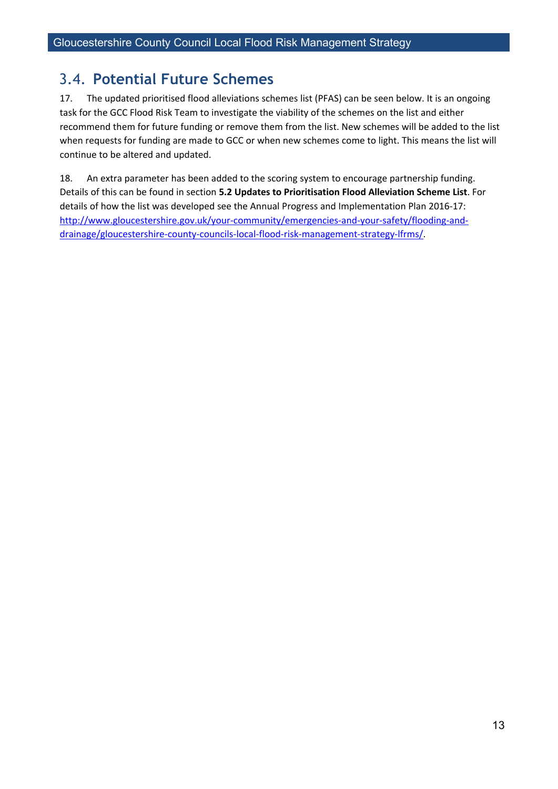### <span id="page-18-0"></span>3.4. **Potential Future Schemes**

17. The updated prioritised flood alleviations schemes list (PFAS) can be seen below. It is an ongoing task for the GCC Flood Risk Team to investigate the viability of the schemes on the list and either recommend them for future funding or remove them from the list. New schemes will be added to the list when requests for funding are made to GCC or when new schemes come to light. This means the list will continue to be altered and updated.

18. An extra parameter has been added to the scoring system to encourage partnership funding. Details of this can be found in section **5.2 Updates to Prioritisation Flood Alleviation Scheme List**. For details of how the list was developed see the Annual Progress and Implementation Plan 2016-17: [http://www.gloucestershire.gov.uk/your-community/emergencies-and-your-safety/flooding-and](http://www.gloucestershire.gov.uk/your-community/emergencies-and-your-safety/flooding-and-drainage/gloucestershire-county-councils-local-flood-risk-management-strategy-lfrms/)[drainage/gloucestershire-county-councils-local-flood-risk-management-strategy-lfrms/.](http://www.gloucestershire.gov.uk/your-community/emergencies-and-your-safety/flooding-and-drainage/gloucestershire-county-councils-local-flood-risk-management-strategy-lfrms/)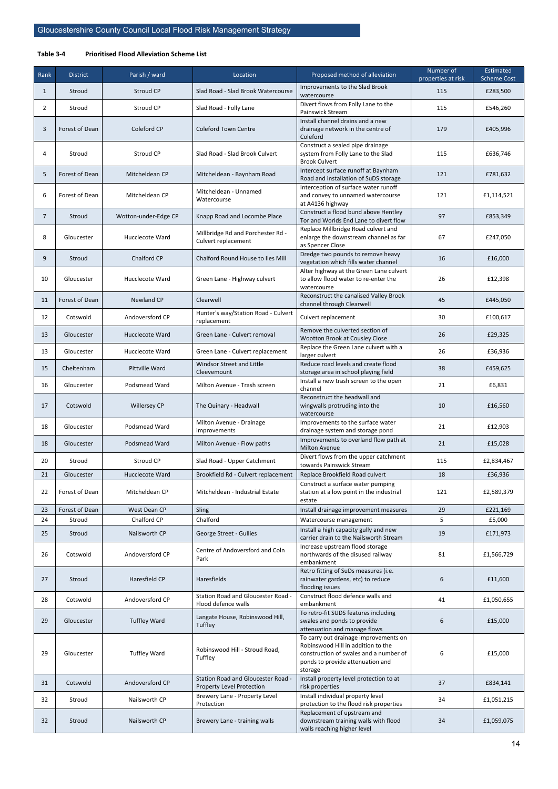#### <span id="page-19-0"></span>**Table 3-4 Prioritised Flood Alleviation Scheme List**

| Rank           | <b>District</b>          | Parish / ward               | Location                                                        | Proposed method of alleviation                                                                                                                                       | Number of<br>properties at risk | Estimated<br><b>Scheme Cost</b> |
|----------------|--------------------------|-----------------------------|-----------------------------------------------------------------|----------------------------------------------------------------------------------------------------------------------------------------------------------------------|---------------------------------|---------------------------------|
| 1              | Stroud                   | <b>Stroud CP</b>            | Slad Road - Slad Brook Watercourse                              | Improvements to the Slad Brook<br>watercourse                                                                                                                        | 115                             | £283,500                        |
| $\overline{2}$ | Stroud                   | Stroud CP                   | Slad Road - Folly Lane                                          | Divert flows from Folly Lane to the<br>Painswick Stream                                                                                                              | 115                             | £546,260                        |
| 3              | Forest of Dean           | Coleford CP                 | <b>Coleford Town Centre</b>                                     | Install channel drains and a new<br>drainage network in the centre of<br>Coleford                                                                                    | 179                             | £405,996                        |
| 4              | Stroud                   | Stroud CP                   | Slad Road - Slad Brook Culvert                                  | Construct a sealed pipe drainage<br>system from Folly Lane to the Slad<br><b>Brook Culvert</b>                                                                       | 115                             | £636,746                        |
| 5              | Forest of Dean           | Mitcheldean CP              | Mitcheldean - Baynham Road                                      | Intercept surface runoff at Baynham<br>Road and installation of SuDS storage                                                                                         | 121                             | £781,632                        |
| 6              | Forest of Dean           | Mitcheldean CP              | Mitcheldean - Unnamed<br>Watercourse                            | Interception of surface water runoff<br>and convey to unnamed watercourse<br>at A4136 highway                                                                        | 121                             | £1,114,521                      |
| $\overline{7}$ | Stroud                   | Wotton-under-Edge CP        | Knapp Road and Locombe Place                                    | Construct a flood bund above Hentley<br>Tor and Worlds End Lane to divert flow                                                                                       | 97                              | £853,349                        |
| 8              | Gloucester               | <b>Hucclecote Ward</b>      | Millbridge Rd and Porchester Rd -<br>Culvert replacement        | Replace Millbridge Road culvert and<br>enlarge the downstream channel as far<br>as Spencer Close                                                                     | 67                              | £247,050                        |
| 9              | Stroud                   | Chalford CP                 | Chalford Round House to Iles Mill                               | Dredge two pounds to remove heavy<br>vegetation which fills water channel                                                                                            | 16                              | £16,000                         |
| 10             | Gloucester               | Hucclecote Ward             | Green Lane - Highway culvert                                    | Alter highway at the Green Lane culvert<br>to allow flood water to re-enter the<br>watercourse                                                                       | 26                              | £12,398                         |
| 11             | Forest of Dean           | Newland CP                  | Clearwell                                                       | Reconstruct the canalised Valley Brook<br>channel through Clearwell                                                                                                  | 45                              | £445,050                        |
| 12             | Cotswold                 | Andoversford CP             | Hunter's way/Station Road - Culvert<br>replacement              | Culvert replacement                                                                                                                                                  | 30                              | £100,617                        |
| 13             | Gloucester               | Hucclecote Ward             | Green Lane - Culvert removal                                    | Remove the culverted section of<br>Wootton Brook at Cousley Close                                                                                                    | 26                              | £29,325                         |
| 13             | Gloucester               | <b>Hucclecote Ward</b>      | Green Lane - Culvert replacement                                | Replace the Green Lane culvert with a<br>larger culvert                                                                                                              | 26                              | £36,936                         |
| 15             | Cheltenham               | Pittville Ward              | Windsor Street and Little<br>Cleevemount                        | Reduce road levels and create flood<br>storage area in school playing field                                                                                          | 38                              | £459,625                        |
| 16             | Gloucester               | Podsmead Ward               | Milton Avenue - Trash screen                                    | Install a new trash screen to the open<br>channel                                                                                                                    | 21                              | £6,831                          |
| 17             | Cotswold                 | <b>Willersey CP</b>         | The Quinary - Headwall                                          | Reconstruct the headwall and<br>wingwalls protruding into the<br>watercourse                                                                                         | 10                              | £16,560                         |
| 18             | Gloucester               | Podsmead Ward               | Milton Avenue - Drainage<br>improvements                        | Improvements to the surface water<br>drainage system and storage pond                                                                                                | 21                              | £12,903                         |
| 18             | Gloucester               | Podsmead Ward               | Milton Avenue - Flow paths                                      | Improvements to overland flow path at<br><b>Milton Avenue</b>                                                                                                        | 21                              | £15,028                         |
| 20             | Stroud                   | Stroud CP                   | Slad Road - Upper Catchment                                     | Divert flows from the upper catchment<br>towards Painswick Stream                                                                                                    | 115                             | £2,834,467                      |
| 21             | Gloucester               | Hucclecote Ward             | Brookfield Rd - Culvert replacement                             | Replace Brookfield Road culvert                                                                                                                                      | 18                              | £36,936                         |
| 22             | Forest of Dean           | Mitcheldean CP              | Mitcheldean - Industrial Estate                                 | Construct a surface water pumping<br>station at a low point in the industrial<br>estate                                                                              | 121                             | £2,589,379                      |
| 23<br>24       | Forest of Dean<br>Stroud | West Dean CP<br>Chalford CP | Sling<br>Chalford                                               | Install drainage improvement measures<br>Watercourse management                                                                                                      | 29<br>5                         | £221,169<br>£5,000              |
| 25             | Stroud                   | Nailsworth CP               | George Street - Gullies                                         | Install a high capacity gully and new                                                                                                                                | 19                              | £171,973                        |
| 26             | Cotswold                 | Andoversford CP             | Centre of Andoversford and Coln<br>Park                         | carrier drain to the Nailsworth Stream<br>Increase upstream flood storage<br>northwards of the disused railway<br>embankment                                         | 81                              | £1,566,729                      |
| 27             | Stroud                   | Haresfield CP               | Haresfields                                                     | Retro fitting of SuDs measures (i.e.<br>rainwater gardens, etc) to reduce<br>flooding issues                                                                         | 6                               | £11,600                         |
| 28             | Cotswold                 | Andoversford CP             | Station Road and Gloucester Road -<br>Flood defence walls       | Construct flood defence walls and<br>embankment                                                                                                                      | 41                              | £1,050,655                      |
| 29             | Gloucester               | <b>Tuffley Ward</b>         | Langate House, Robinswood Hill,<br>Tuffley                      | To retro-fit SUDS features including<br>swales and ponds to provide<br>attenuation and manage flows                                                                  | 6                               | £15,000                         |
| 29             | Gloucester               | <b>Tuffley Ward</b>         | Robinswood Hill - Stroud Road,<br>Tuffley                       | To carry out drainage improvements on<br>Robinswood Hill in addition to the<br>construction of swales and a number of<br>ponds to provide attenuation and<br>storage | 6                               | £15,000                         |
| 31             | Cotswold                 | Andoversford CP             | Station Road and Gloucester Road -<br>Property Level Protection | Install property level protection to at<br>risk properties                                                                                                           | 37                              | £834,141                        |
| 32             | Stroud                   | Nailsworth CP               | Brewery Lane - Property Level<br>Protection                     | Install individual property level<br>protection to the flood risk properties                                                                                         | 34                              | £1,051,215                      |
| 32             | Stroud                   | Nailsworth CP               | Brewery Lane - training walls                                   | Replacement of upstream and<br>downstream training walls with flood<br>walls reaching higher level                                                                   | 34                              | £1,059,075                      |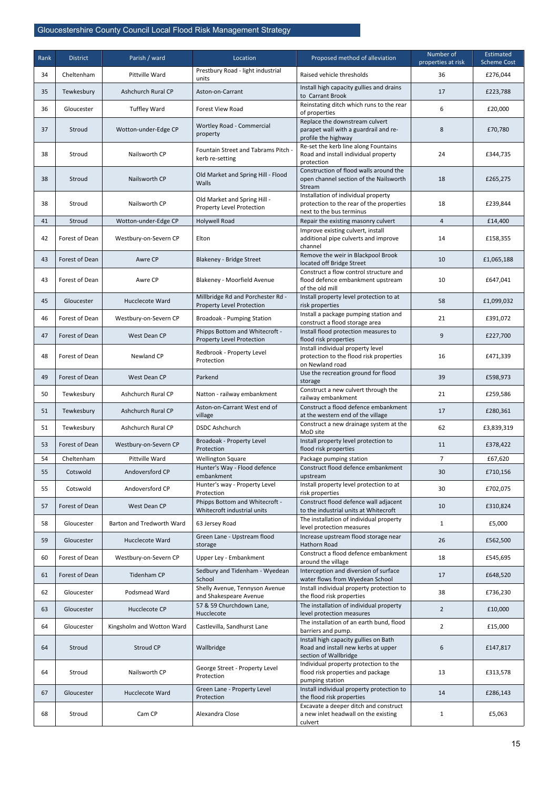| Rank | <b>District</b> | Parish / ward             | Location                                                       | Proposed method of alleviation                                                                              | Number of<br>properties at risk | Estimated<br><b>Scheme Cost</b> |
|------|-----------------|---------------------------|----------------------------------------------------------------|-------------------------------------------------------------------------------------------------------------|---------------------------------|---------------------------------|
| 34   | Cheltenham      | Pittville Ward            | Prestbury Road - light industrial<br>units                     | Raised vehicle thresholds                                                                                   | 36                              | £276,044                        |
| 35   | Tewkesbury      | Ashchurch Rural CP        | Aston-on-Carrant                                               | Install high capacity gullies and drains<br>to Carrant Brook                                                | 17                              | £223,788                        |
| 36   | Gloucester      | <b>Tuffley Ward</b>       | <b>Forest View Road</b>                                        | Reinstating ditch which runs to the rear<br>of properties                                                   | 6                               | £20,000                         |
| 37   | Stroud          | Wotton-under-Edge CP      | Wortley Road - Commercial<br>property                          | Replace the downstream culvert<br>parapet wall with a guardrail and re-<br>profile the highway              | 8                               | £70,780                         |
| 38   | Stroud          | Nailsworth CP             | Fountain Street and Tabrams Pitch<br>kerb re-setting           | Re-set the kerb line along Fountains<br>Road and install individual property<br>protection                  | 24                              | £344,735                        |
| 38   | Stroud          | Nailsworth CP             | Old Market and Spring Hill - Flood<br>Walls                    | Construction of flood walls around the<br>open channel section of the Nailsworth<br>Stream                  | 18                              | £265,275                        |
| 38   | Stroud          | Nailsworth CP             | Old Market and Spring Hill -<br>Property Level Protection      | Installation of individual property<br>protection to the rear of the properties<br>next to the bus terminus | 18                              | £239,844                        |
| 41   | Stroud          | Wotton-under-Edge CP      | <b>Holywell Road</b>                                           | Repair the existing masonry culvert                                                                         | $\overline{4}$                  | £14,400                         |
| 42   | Forest of Dean  | Westbury-on-Severn CP     | Elton                                                          | Improve existing culvert, install<br>additional pipe culverts and improve<br>channel                        | 14                              | £158,355                        |
| 43   | Forest of Dean  | Awre CP                   | Blakeney - Bridge Street                                       | Remove the weir in Blackpool Brook<br>located off Bridge Street                                             | 10                              | £1,065,188                      |
| 43   | Forest of Dean  | Awre CP                   | Blakeney - Moorfield Avenue                                    | Construct a flow control structure and<br>flood defence embankment upstream<br>of the old mill              | 10                              | £647,041                        |
| 45   | Gloucester      | Hucclecote Ward           | Millbridge Rd and Porchester Rd -<br>Property Level Protection | Install property level protection to at<br>risk properties                                                  | 58                              | £1,099,032                      |
| 46   | Forest of Dean  | Westbury-on-Severn CP     | <b>Broadoak - Pumping Station</b>                              | Install a package pumping station and<br>construct a flood storage area                                     | 21                              | £391,072                        |
| 47   | Forest of Dean  | West Dean CP              | Phipps Bottom and Whitecroft -<br>Property Level Protection    | Install flood protection measures to<br>flood risk properties                                               | 9                               | £227,700                        |
| 48   | Forest of Dean  | Newland CP                | Redbrook - Property Level<br>Protection                        | Install individual property level<br>protection to the flood risk properties<br>on Newland road             | 16                              | £471,339                        |
| 49   | Forest of Dean  | West Dean CP              | Parkend                                                        | Use the recreation ground for flood<br>storage                                                              | 39                              | £598,973                        |
| 50   | Tewkesbury      | Ashchurch Rural CP        | Natton - railway embankment                                    | Construct a new culvert through the<br>railway embankment                                                   | 21                              | £259,586                        |
| 51   | Tewkesbury      | Ashchurch Rural CP        | Aston-on-Carrant West end of<br>village                        | Construct a flood defence embankment<br>at the western end of the village                                   | 17                              | £280,361                        |
| 51   | Tewkesbury      | Ashchurch Rural CP        | <b>DSDC Ashchurch</b>                                          | Construct a new drainage system at the<br>MoD site                                                          | 62                              | £3,839,319                      |
| 53   | Forest of Dean  | Westbury-on-Severn CP     | Broadoak - Property Level<br>Protection                        | Install property level protection to<br>flood risk properties                                               | 11                              | £378,422                        |
| 54   | Cheltenham      | Pittville Ward            | <b>Wellington Square</b>                                       | Package pumping station                                                                                     | $\overline{7}$                  | £67,620                         |
| 55   | Cotswold        | Andoversford CP           | Hunter's Way - Flood defence<br>embankment                     | Construct flood defence embankment<br>upstream                                                              | 30                              | £710,156                        |
| 55   | Cotswold        | Andoversford CP           | Hunter's way - Property Level<br>Protection                    | Install property level protection to at<br>risk properties                                                  | 30                              | £702,075                        |
| 57   | Forest of Dean  | West Dean CP              | Phipps Bottom and Whitecroft -<br>Whitecroft industrial units  | Construct flood defence wall adjacent<br>to the industrial units at Whitecroft                              | 10                              | £310,824                        |
| 58   | Gloucester      | Barton and Tredworth Ward | 63 Jersey Road                                                 | The installation of individual property<br>level protection measures                                        | $\mathbf{1}$                    | £5,000                          |
| 59   | Gloucester      | Hucclecote Ward           | Green Lane - Upstream flood<br>storage                         | Increase upstream flood storage near<br><b>Hathorn Road</b>                                                 | 26                              | £562,500                        |
| 60   | Forest of Dean  | Westbury-on-Severn CP     | Upper Ley - Embankment                                         | Construct a flood defence embankment<br>around the village                                                  | 18                              | £545,695                        |
| 61   | Forest of Dean  | <b>Tidenham CP</b>        | Sedbury and Tidenham - Wyedean<br>School                       | Interception and diversion of surface<br>water flows from Wyedean School                                    | 17                              | £648,520                        |
| 62   | Gloucester      | Podsmead Ward             | Shelly Avenue, Tennyson Avenue<br>and Shakespeare Avenue       | Install individual property protection to<br>the flood risk properties                                      | 38                              | £736,230                        |
| 63   | Gloucester      | Hucclecote CP             | 57 & 59 Churchdown Lane,<br>Hucclecote                         | The installation of individual property<br>level protection measures                                        | $\overline{2}$                  | £10,000                         |
| 64   | Gloucester      | Kingsholm and Wotton Ward | Castlevilla, Sandhurst Lane                                    | The installation of an earth bund, flood<br>barriers and pump.                                              | 2                               | £15,000                         |
| 64   | Stroud          | Stroud CP                 | Wallbridge                                                     | Install high capacity gullies on Bath<br>Road and install new kerbs at upper<br>section of Wallbridge       | $6\phantom{a}$                  | £147,817                        |
| 64   | Stroud          | Nailsworth CP             | George Street - Property Level<br>Protection                   | Individual property protection to the<br>flood risk properties and package<br>pumping station               | 13                              | £313,578                        |
| 67   | Gloucester      | Hucclecote Ward           | Green Lane - Property Level<br>Protection                      | Install individual property protection to<br>the flood risk properties                                      | 14                              | £286,143                        |
| 68   | Stroud          | Cam CP                    | Alexandra Close                                                | Excavate a deeper ditch and construct<br>a new inlet headwall on the existing<br>culvert                    | $\mathbf{1}$                    | £5,063                          |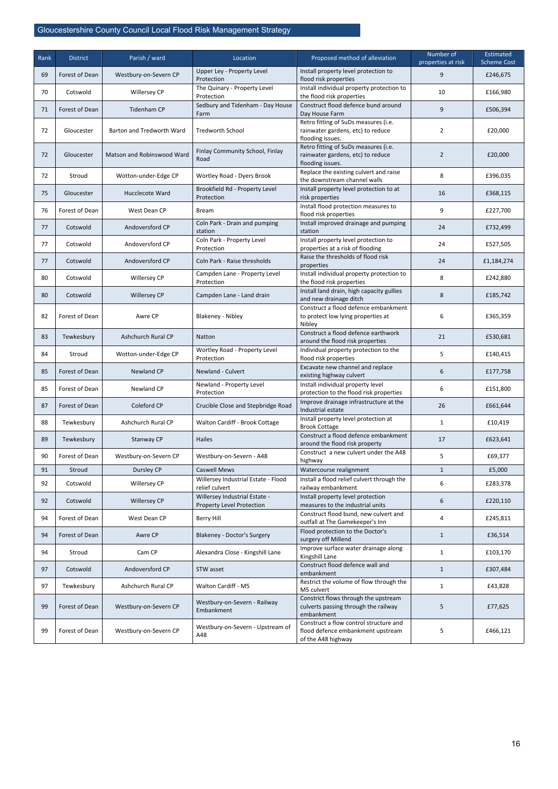| Rank | <b>District</b> | Parish / ward              | Location                                                   | Proposed method of alleviation                                                                | Number of<br>properties at risk | Estimated<br><b>Scheme Cost</b> |
|------|-----------------|----------------------------|------------------------------------------------------------|-----------------------------------------------------------------------------------------------|---------------------------------|---------------------------------|
| 69   | Forest of Dean  | Westbury-on-Severn CP      | Upper Ley - Property Level<br>Protection                   | Install property level protection to<br>flood risk properties                                 | 9                               | £246,675                        |
| 70   | Cotswold        | Willersey CP               | The Quinary - Property Level<br>Protection                 | Install individual property protection to<br>the flood risk properties                        | 10                              | £166,980                        |
| 71   | Forest of Dean  | <b>Tidenham CP</b>         | Sedbury and Tidenham - Day House<br>Farm                   | Construct flood defence bund around<br>Day House Farm                                         | 9                               | £506,394                        |
| 72   | Gloucester      | Barton and Tredworth Ward  | <b>Tredworth School</b>                                    | Retro fitting of SuDs measures (i.e.<br>rainwater gardens, etc) to reduce<br>flooding issues. | $\overline{2}$                  | £20,000                         |
| 72   | Gloucester      | Matson and Robinswood Ward | Finlay Community School, Finlay<br>Road                    | Retro fitting of SuDs measures (i.e.<br>rainwater gardens, etc) to reduce<br>flooding issues. | $\overline{2}$                  | £20,000                         |
| 72   | Stroud          | Wotton-under-Edge CP       | Wortley Road - Dyers Brook                                 | Replace the existing culvert and raise<br>the downstream channel walls                        | 8                               | £396,035                        |
| 75   | Gloucester      | Hucclecote Ward            | Brookfield Rd - Property Level<br>Protection               | Install property level protection to at<br>risk properties                                    | 16                              | £368,115                        |
| 76   | Forest of Dean  | West Dean CP               | Bream                                                      | Install flood protection measures to<br>flood risk properties                                 | 9                               | £227,700                        |
| 77   | Cotswold        | Andoversford CP            | Coln Park - Drain and pumping<br>station                   | Install improved drainage and pumping<br>station                                              | 24                              | £732,499                        |
| 77   | Cotswold        | Andoversford CP            | Coln Park - Property Level<br>Protection                   | Install property level protection to<br>properties at a risk of flooding                      | 24                              | £527,505                        |
| 77   | Cotswold        | Andoversford CP            | Coln Park - Raise thresholds                               | Raise the thresholds of flood risk<br>properties                                              | 24                              | £1,184,274                      |
| 80   | Cotswold        | Willersey CP               | Campden Lane - Property Level<br>Protection                | Install individual property protection to<br>the flood risk properties                        | 8                               | £242,880                        |
| 80   | Cotswold        | <b>Willersey CP</b>        | Campden Lane - Land drain                                  | Install land drain, high capacity gullies<br>and new drainage ditch                           | 8                               | £185,742                        |
| 82   | Forest of Dean  | Awre CP                    | Blakeney - Nibley                                          | Construct a flood defence embankment<br>to protect low lying properties at<br>Nibley          | 6                               | £365,359                        |
| 83   | Tewkesbury      | Ashchurch Rural CP         | Natton                                                     | Construct a flood defence earthwork<br>around the flood risk properties                       | 21                              | £530,681                        |
| 84   | Stroud          | Wotton-under-Edge CP       | Wortley Road - Property Level<br>Protection                | Individual property protection to the<br>flood risk properties                                | 5                               | £140,415                        |
| 85   | Forest of Dean  | Newland CP                 | Newland - Culvert                                          | Excavate new channel and replace<br>existing highway culvert                                  | 6                               | £177,758                        |
| 85   | Forest of Dean  | Newland CP                 | Newland - Property Level<br>Protection                     | Install individual property level<br>protection to the flood risk properties                  | 6                               | £151,800                        |
| 87   | Forest of Dean  | Coleford CP                | Crucible Close and Stepbridge Road                         | Improve drainage infrastructure at the<br>Industrial estate                                   | 26                              | £661,644                        |
| 88   | Tewkesbury      | Ashchurch Rural CP         | Walton Cardiff - Brook Cottage                             | Install property level protection at<br><b>Brook Cottage</b>                                  | $\mathbf{1}$                    | £10,419                         |
| 89   | Tewkesbury      | Stanway CP                 | <b>Hailes</b>                                              | Construct a flood defence embankment<br>around the flood risk property                        | 17                              | £623,641                        |
| 90   | Forest of Dean  | Westbury-on-Severn CP      | Westbury-on-Severn - A48                                   | Construct a new culvert under the A48<br>highway                                              | 5                               | £69,377                         |
| 91   | Stroud          | Dursley CP                 | <b>Caswell Mews</b>                                        | Watercourse realignment                                                                       | $\mathbf{1}$                    | £5,000                          |
| 92   | Cotswold        | Willersey CP               | Willersey Industrial Estate - Flood<br>relief culvert      | Install a flood relief culvert through the<br>railway embankment                              | 6                               | £283,378                        |
| 92   | Cotswold        | <b>Willersey CP</b>        | Willersey Industrial Estate -<br>Property Level Protection | Install property level protection<br>measures to the industrial units                         | 6                               | £220,110                        |
| 94   | Forest of Dean  | West Dean CP               | <b>Berry Hill</b>                                          | Construct flood bund, new culvert and<br>outfall at The Gamekeeper's Inn                      | 4                               | £245,811                        |
| 94   | Forest of Dean  | Awre CP                    | Blakeney - Doctor's Surgery                                | Flood protection to the Doctor's<br>surgery off Millend                                       | $\mathbf{1}$                    | £36,514                         |
| 94   | Stroud          | Cam CP                     | Alexandra Close - Kingshill Lane                           | Improve surface water drainage along<br>Kingshill Lane                                        | $\mathbf{1}$                    | £103,170                        |
| 97   | Cotswold        | Andoversford CP            | STW asset                                                  | Construct flood defence wall and<br>embankment                                                | $\mathbf{1}$                    | £307,484                        |
| 97   | Tewkesbury      | Ashchurch Rural CP         | Walton Cardiff - M5                                        | Restrict the volume of flow through the<br>M5 culvert                                         | $\mathbf{1}$                    | £43,828                         |

| 99  | Forest of Dean | Westbury-on-Severn CP | Westbury-on-Severn - Railway<br>Embankment | Constrict flows through the upstream<br>culverts passing through the railway<br>embankment        | £77,625  |
|-----|----------------|-----------------------|--------------------------------------------|---------------------------------------------------------------------------------------------------|----------|
| -99 | Forest of Dean | Westbury-on-Severn CP | Westbury-on-Severn - Upstream of<br>A48    | Construct a flow control structure and<br>flood defence embankment upstream<br>of the A48 highway | £466,121 |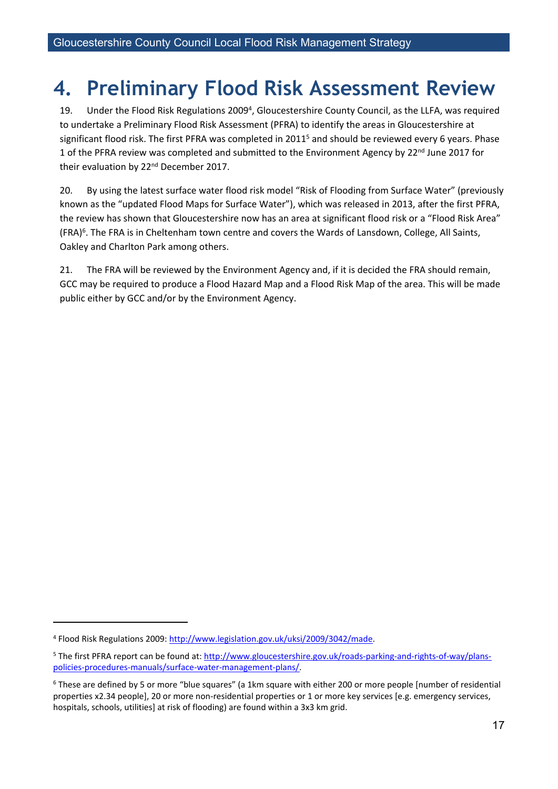# <span id="page-22-0"></span>**4. Preliminary Flood Risk Assessment Review**

19. Under the Flood Risk Regulations 2009<sup>4</sup>, Gloucestershire County Council, as the LLFA, was required to undertake a Preliminary Flood Risk Assessment (PFRA) to identify the areas in Gloucestershire at significant flood risk. The first PFRA was completed in 2011<sup>5</sup> and should be reviewed every 6 years. Phase 1 of the PFRA review was completed and submitted to the Environment Agency by 22<sup>nd</sup> June 2017 for their evaluation by 22<sup>nd</sup> December 2017.

20. By using the latest surface water flood risk model "Risk of Flooding from Surface Water" (previously known as the "updated Flood Maps for Surface Water"), which was released in 2013, after the first PFRA, the review has shown that Gloucestershire now has an area at significant flood risk or a "Flood Risk Area" (FRA)<sup>6</sup>. The FRA is in Cheltenham town centre and covers the Wards of Lansdown, College, All Saints, Oakley and Charlton Park among others.

21. The FRA will be reviewed by the Environment Agency and, if it is decided the FRA should remain, GCC may be required to produce a Flood Hazard Map and a Flood Risk Map of the area. This will be made public either by GCC and/or by the Environment Agency.

<sup>4</sup> Flood Risk Regulations 2009: [http://www.legislation.gov.uk/uksi/2009/3042/made.](http://www.legislation.gov.uk/uksi/2009/3042/made)

<sup>5</sup> The first PFRA report can be found at: [http://www.gloucestershire.gov.uk/roads-parking-and-rights-of-way/plans](http://www.gloucestershire.gov.uk/roads-parking-and-rights-of-way/plans-policies-procedures-manuals/surface-water-management-plans/)[policies-procedures-manuals/surface-water-management-plans/.](http://www.gloucestershire.gov.uk/roads-parking-and-rights-of-way/plans-policies-procedures-manuals/surface-water-management-plans/)

<sup>6</sup> These are defined by 5 or more "blue squares" (a 1km square with either 200 or more people [number of residential properties x2.34 people], 20 or more non-residential properties or 1 or more key services [e.g. emergency services, hospitals, schools, utilities] at risk of flooding) are found within a 3x3 km grid.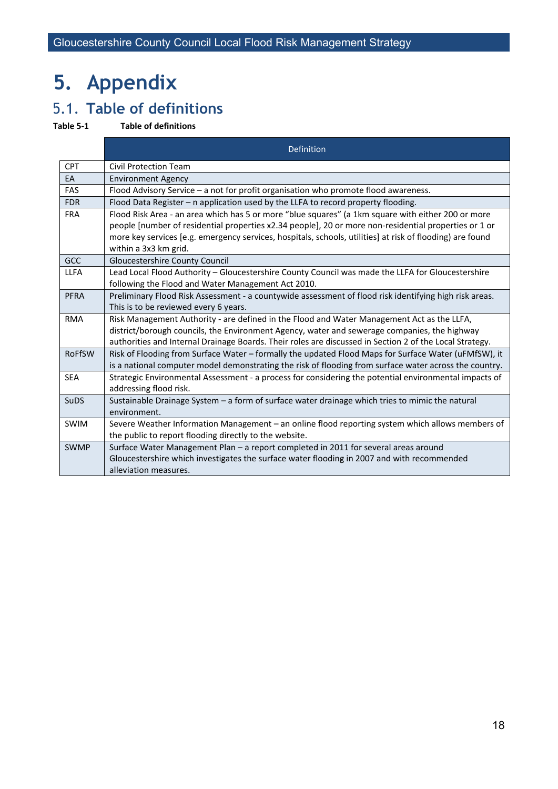# <span id="page-23-0"></span>**5. Appendix**

# <span id="page-23-1"></span>5.1. **Table of definitions**

#### <span id="page-23-2"></span>**Table 5-1 Table of definitions**

|               | Definition                                                                                                                                                                                                         |
|---------------|--------------------------------------------------------------------------------------------------------------------------------------------------------------------------------------------------------------------|
| <b>CPT</b>    | Civil Protection Team                                                                                                                                                                                              |
| EA            | <b>Environment Agency</b>                                                                                                                                                                                          |
| FAS           | Flood Advisory Service - a not for profit organisation who promote flood awareness.                                                                                                                                |
| <b>FDR</b>    | Flood Data Register - n application used by the LLFA to record property flooding.                                                                                                                                  |
| <b>FRA</b>    | Flood Risk Area - an area which has 5 or more "blue squares" (a 1km square with either 200 or more                                                                                                                 |
|               | people [number of residential properties x2.34 people], 20 or more non-residential properties or 1 or<br>more key services [e.g. emergency services, hospitals, schools, utilities] at risk of flooding) are found |
|               | within a 3x3 km grid.                                                                                                                                                                                              |
| GCC           | Gloucestershire County Council                                                                                                                                                                                     |
| <b>LLFA</b>   | Lead Local Flood Authority - Gloucestershire County Council was made the LLFA for Gloucestershire                                                                                                                  |
|               | following the Flood and Water Management Act 2010.                                                                                                                                                                 |
| <b>PFRA</b>   | Preliminary Flood Risk Assessment - a countywide assessment of flood risk identifying high risk areas.                                                                                                             |
|               | This is to be reviewed every 6 years.                                                                                                                                                                              |
| <b>RMA</b>    | Risk Management Authority - are defined in the Flood and Water Management Act as the LLFA,                                                                                                                         |
|               | district/borough councils, the Environment Agency, water and sewerage companies, the highway                                                                                                                       |
|               | authorities and Internal Drainage Boards. Their roles are discussed in Section 2 of the Local Strategy.                                                                                                            |
| <b>RoFfSW</b> | Risk of Flooding from Surface Water - formally the updated Flood Maps for Surface Water (uFMfSW), it                                                                                                               |
|               | is a national computer model demonstrating the risk of flooding from surface water across the country.                                                                                                             |
| <b>SEA</b>    | Strategic Environmental Assessment - a process for considering the potential environmental impacts of<br>addressing flood risk.                                                                                    |
| <b>SuDS</b>   | Sustainable Drainage System - a form of surface water drainage which tries to mimic the natural                                                                                                                    |
|               | environment.                                                                                                                                                                                                       |
| <b>SWIM</b>   | Severe Weather Information Management - an online flood reporting system which allows members of                                                                                                                   |
|               | the public to report flooding directly to the website.                                                                                                                                                             |
| <b>SWMP</b>   | Surface Water Management Plan - a report completed in 2011 for several areas around                                                                                                                                |
|               | Gloucestershire which investigates the surface water flooding in 2007 and with recommended                                                                                                                         |
|               | alleviation measures.                                                                                                                                                                                              |